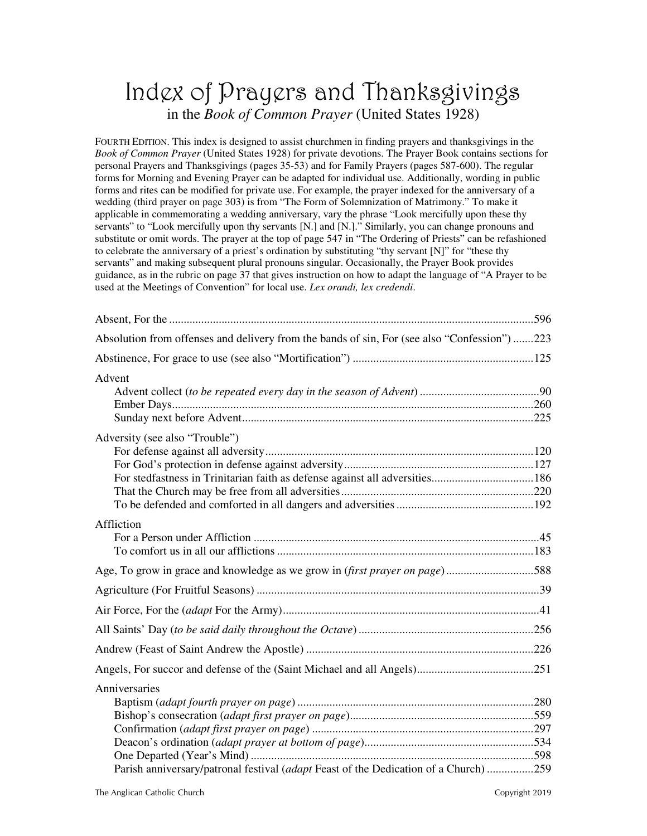# Index of Prayers and Thanksgivings in the *Book of Common Prayer* (United States 1928)

FOURTH EDITION. This index is designed to assist churchmen in finding prayers and thanksgivings in the *Book of Common Prayer* (United States 1928) for private devotions. The Prayer Book contains sections for personal Prayers and Thanksgivings (pages 35-53) and for Family Prayers (pages 587-600). The regular forms for Morning and Evening Prayer can be adapted for individual use. Additionally, wording in public forms and rites can be modified for private use. For example, the prayer indexed for the anniversary of a wedding (third prayer on page 303) is from "The Form of Solemnization of Matrimony." To make it applicable in commemorating a wedding anniversary, vary the phrase "Look mercifully upon these thy servants" to "Look mercifully upon thy servants [N.] and [N.]." Similarly, you can change pronouns and substitute or omit words. The prayer at the top of page 547 in "The Ordering of Priests" can be refashioned to celebrate the anniversary of a priest's ordination by substituting "thy servant [N]" for "these thy servants" and making subsequent plural pronouns singular. Occasionally, the Prayer Book provides guidance, as in the rubric on page 37 that gives instruction on how to adapt the language of "A Prayer to be used at the Meetings of Convention" for local use. *Lex orandi, lex credendi*.

| Absolution from offenses and delivery from the bands of sin, For (see also "Confession") 223 |  |
|----------------------------------------------------------------------------------------------|--|
|                                                                                              |  |
| Advent                                                                                       |  |
|                                                                                              |  |
|                                                                                              |  |
|                                                                                              |  |
| Adversity (see also "Trouble")                                                               |  |
|                                                                                              |  |
|                                                                                              |  |
|                                                                                              |  |
|                                                                                              |  |
|                                                                                              |  |
| Affliction                                                                                   |  |
|                                                                                              |  |
|                                                                                              |  |
| Age, To grow in grace and knowledge as we grow in (first prayer on page)588                  |  |
|                                                                                              |  |
|                                                                                              |  |
|                                                                                              |  |
|                                                                                              |  |
|                                                                                              |  |
| Anniversaries                                                                                |  |
|                                                                                              |  |
|                                                                                              |  |
|                                                                                              |  |
|                                                                                              |  |
|                                                                                              |  |
| Parish anniversary/patronal festival (adapt Feast of the Dedication of a Church) 259         |  |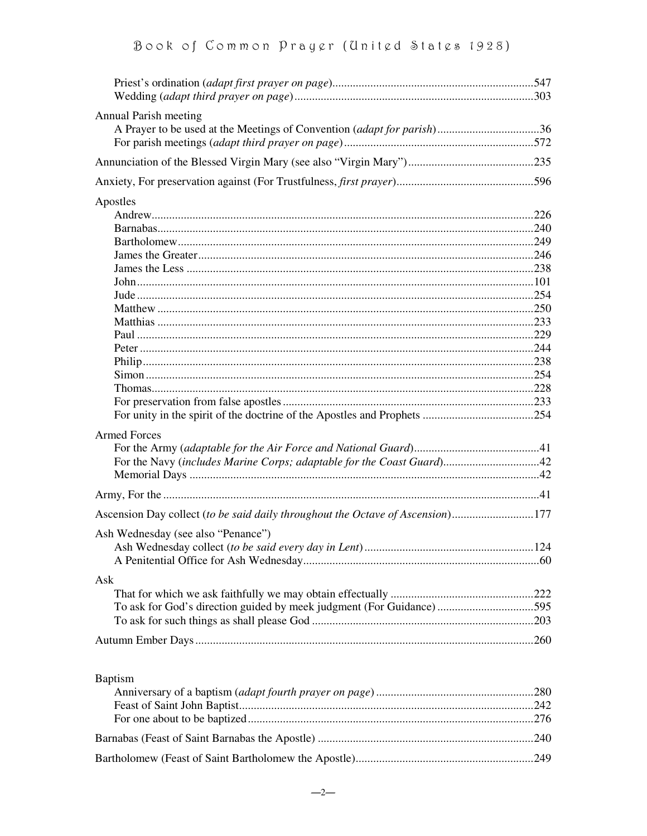| Annual Parish meeting                                                          |  |
|--------------------------------------------------------------------------------|--|
| A Prayer to be used at the Meetings of Convention (adapt for parish)36         |  |
|                                                                                |  |
|                                                                                |  |
|                                                                                |  |
| Apostles                                                                       |  |
|                                                                                |  |
|                                                                                |  |
|                                                                                |  |
|                                                                                |  |
|                                                                                |  |
|                                                                                |  |
|                                                                                |  |
|                                                                                |  |
|                                                                                |  |
|                                                                                |  |
|                                                                                |  |
|                                                                                |  |
|                                                                                |  |
|                                                                                |  |
|                                                                                |  |
|                                                                                |  |
| <b>Armed Forces</b>                                                            |  |
|                                                                                |  |
| For the Navy (includes Marine Corps; adaptable for the Coast Guard)42          |  |
|                                                                                |  |
|                                                                                |  |
| Ascension Day collect (to be said daily throughout the Octave of Ascension)177 |  |
|                                                                                |  |
| Ash Wednesday (see also "Penance")                                             |  |
|                                                                                |  |
|                                                                                |  |
| Ask                                                                            |  |
|                                                                                |  |
| To ask for God's direction guided by meek judgment (For Guidance) 595          |  |
|                                                                                |  |
|                                                                                |  |
|                                                                                |  |
| <b>Baptism</b>                                                                 |  |
|                                                                                |  |
|                                                                                |  |
|                                                                                |  |
|                                                                                |  |
|                                                                                |  |
|                                                                                |  |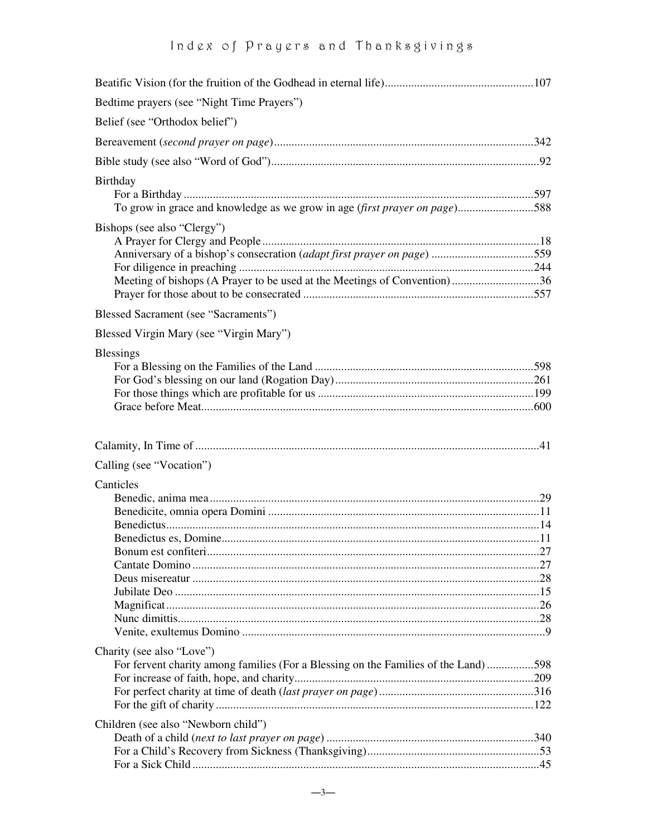| Bedtime prayers (see "Night Time Prayers")                                                                       |  |
|------------------------------------------------------------------------------------------------------------------|--|
| Belief (see "Orthodox belief")                                                                                   |  |
|                                                                                                                  |  |
|                                                                                                                  |  |
| Birthday<br>To grow in grace and knowledge as we grow in age (first prayer on page)588                           |  |
| Bishops (see also "Clergy")<br>Meeting of bishops (A Prayer to be used at the Meetings of Convention)36          |  |
| <b>Blessed Sacrament (see "Sacraments")</b>                                                                      |  |
| Blessed Virgin Mary (see "Virgin Mary")                                                                          |  |
| <b>Blessings</b>                                                                                                 |  |
|                                                                                                                  |  |
| Calling (see "Vocation")                                                                                         |  |
| Canticles                                                                                                        |  |
| Charity (see also "Love")<br>For fervent charity among families (For a Blessing on the Families of the Land) 598 |  |
| Children (see also "Newborn child")                                                                              |  |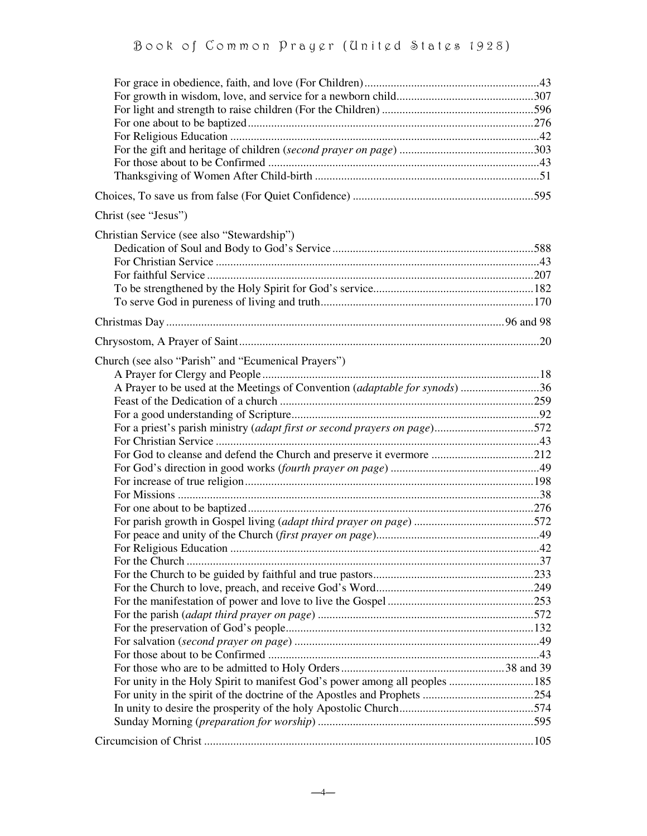| Christ (see "Jesus")                                                        |  |
|-----------------------------------------------------------------------------|--|
| Christian Service (see also "Stewardship")                                  |  |
|                                                                             |  |
|                                                                             |  |
|                                                                             |  |
|                                                                             |  |
|                                                                             |  |
|                                                                             |  |
|                                                                             |  |
| Church (see also "Parish" and "Ecumenical Prayers")                         |  |
|                                                                             |  |
| A Prayer to be used at the Meetings of Convention (adaptable for synods) 36 |  |
|                                                                             |  |
|                                                                             |  |
| For a priest's parish ministry (adapt first or second prayers on page)572   |  |
|                                                                             |  |
| For God to cleanse and defend the Church and preserve it evermore 212       |  |
|                                                                             |  |
|                                                                             |  |
|                                                                             |  |
|                                                                             |  |
|                                                                             |  |
|                                                                             |  |
|                                                                             |  |
|                                                                             |  |
|                                                                             |  |
|                                                                             |  |
|                                                                             |  |
|                                                                             |  |
|                                                                             |  |
|                                                                             |  |
|                                                                             |  |
|                                                                             |  |
|                                                                             |  |
|                                                                             |  |
|                                                                             |  |
|                                                                             |  |
|                                                                             |  |
|                                                                             |  |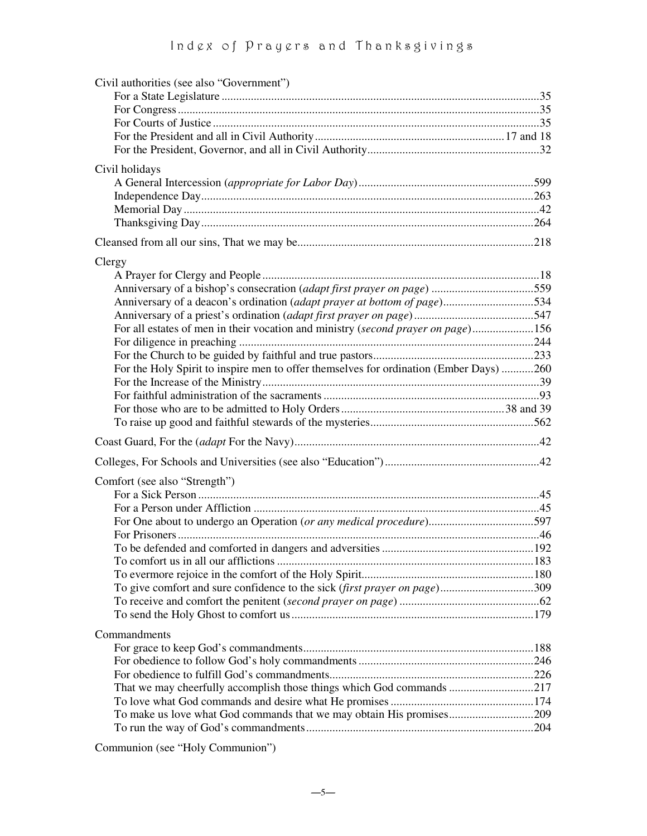| Civil authorities (see also "Government")                                              |  |
|----------------------------------------------------------------------------------------|--|
|                                                                                        |  |
|                                                                                        |  |
|                                                                                        |  |
|                                                                                        |  |
|                                                                                        |  |
| Civil holidays                                                                         |  |
|                                                                                        |  |
|                                                                                        |  |
|                                                                                        |  |
|                                                                                        |  |
|                                                                                        |  |
| Clergy                                                                                 |  |
|                                                                                        |  |
|                                                                                        |  |
| Anniversary of a deacon's ordination (adapt prayer at bottom of page)534               |  |
|                                                                                        |  |
| For all estates of men in their vocation and ministry (second prayer on page)156       |  |
|                                                                                        |  |
|                                                                                        |  |
| For the Holy Spirit to inspire men to offer themselves for ordination (Ember Days) 260 |  |
|                                                                                        |  |
|                                                                                        |  |
|                                                                                        |  |
|                                                                                        |  |
|                                                                                        |  |
|                                                                                        |  |
| Comfort (see also "Strength")                                                          |  |
|                                                                                        |  |
|                                                                                        |  |
|                                                                                        |  |
|                                                                                        |  |
|                                                                                        |  |
|                                                                                        |  |
| To give comfort and sure confidence to the sick (first prayer on page)309              |  |
|                                                                                        |  |
|                                                                                        |  |
|                                                                                        |  |
| Commandments                                                                           |  |
|                                                                                        |  |
|                                                                                        |  |
| That we may cheerfully accomplish those things which God commands 217                  |  |
|                                                                                        |  |
| To make us love what God commands that we may obtain His promises209                   |  |
|                                                                                        |  |
|                                                                                        |  |

Communion (see "Holy Communion")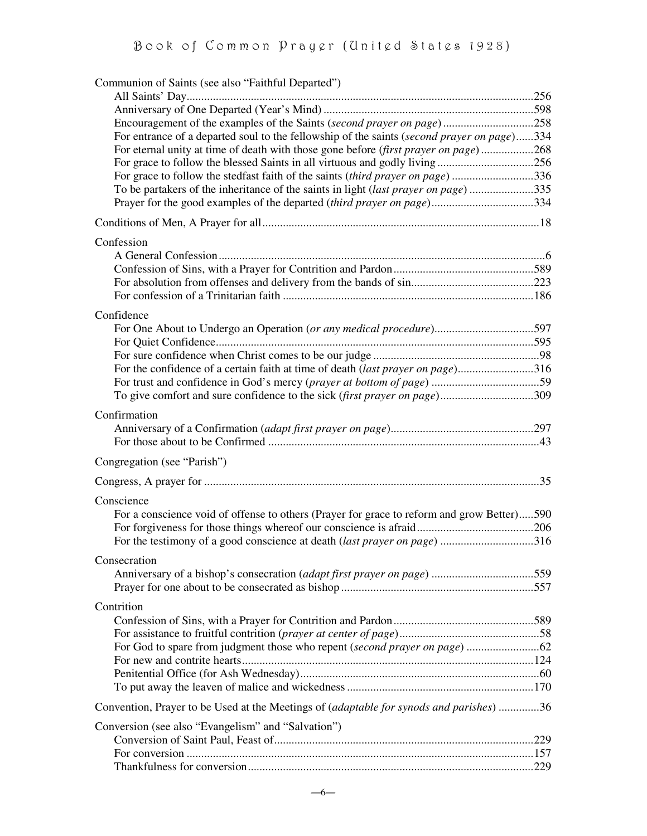| Communion of Saints (see also "Faithful Departed")                                             |  |
|------------------------------------------------------------------------------------------------|--|
|                                                                                                |  |
|                                                                                                |  |
| For entrance of a departed soul to the fellowship of the saints (second prayer on page)334     |  |
| For eternal unity at time of death with those gone before (first prayer on page)268            |  |
|                                                                                                |  |
| For grace to follow the stedfast faith of the saints <i>(third prayer on page)</i> 336         |  |
| To be partakers of the inheritance of the saints in light (last prayer on page)335             |  |
| Prayer for the good examples of the departed (third prayer on page)334                         |  |
|                                                                                                |  |
| Confession                                                                                     |  |
|                                                                                                |  |
|                                                                                                |  |
|                                                                                                |  |
|                                                                                                |  |
| Confidence                                                                                     |  |
| For One About to Undergo an Operation (or any medical procedure)597                            |  |
|                                                                                                |  |
|                                                                                                |  |
| For the confidence of a certain faith at time of death (last prayer on page)316                |  |
|                                                                                                |  |
| To give comfort and sure confidence to the sick (first prayer on page)309                      |  |
| Confirmation                                                                                   |  |
|                                                                                                |  |
|                                                                                                |  |
| Congregation (see "Parish")                                                                    |  |
|                                                                                                |  |
| Conscience                                                                                     |  |
| For a conscience void of offense to others (Prayer for grace to reform and grow Better)590     |  |
|                                                                                                |  |
| For the testimony of a good conscience at death <i>(last prayer on page)</i> 316               |  |
|                                                                                                |  |
| Consecration                                                                                   |  |
|                                                                                                |  |
|                                                                                                |  |
| Contrition                                                                                     |  |
|                                                                                                |  |
|                                                                                                |  |
|                                                                                                |  |
|                                                                                                |  |
|                                                                                                |  |
|                                                                                                |  |
| Convention, Prayer to be Used at the Meetings of <i>(adaptable for synods and parishes)</i> 36 |  |
| Conversion (see also "Evangelism" and "Salvation")                                             |  |
|                                                                                                |  |
|                                                                                                |  |
|                                                                                                |  |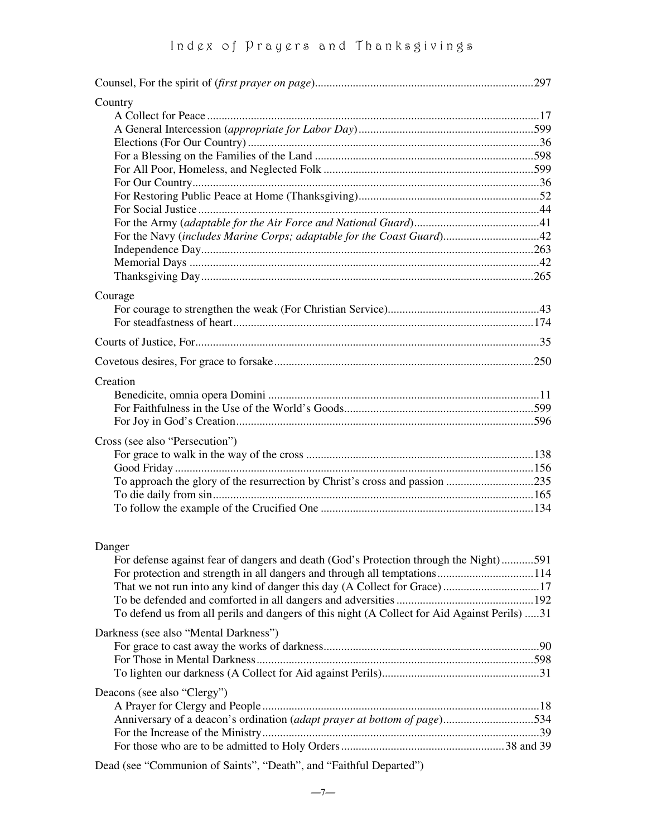| Country                                                                                                                                                                                                                                                                                                             |  |
|---------------------------------------------------------------------------------------------------------------------------------------------------------------------------------------------------------------------------------------------------------------------------------------------------------------------|--|
|                                                                                                                                                                                                                                                                                                                     |  |
|                                                                                                                                                                                                                                                                                                                     |  |
|                                                                                                                                                                                                                                                                                                                     |  |
|                                                                                                                                                                                                                                                                                                                     |  |
|                                                                                                                                                                                                                                                                                                                     |  |
|                                                                                                                                                                                                                                                                                                                     |  |
|                                                                                                                                                                                                                                                                                                                     |  |
|                                                                                                                                                                                                                                                                                                                     |  |
| For the Navy (includes Marine Corps; adaptable for the Coast Guard)42                                                                                                                                                                                                                                               |  |
|                                                                                                                                                                                                                                                                                                                     |  |
|                                                                                                                                                                                                                                                                                                                     |  |
|                                                                                                                                                                                                                                                                                                                     |  |
| Courage                                                                                                                                                                                                                                                                                                             |  |
|                                                                                                                                                                                                                                                                                                                     |  |
|                                                                                                                                                                                                                                                                                                                     |  |
|                                                                                                                                                                                                                                                                                                                     |  |
|                                                                                                                                                                                                                                                                                                                     |  |
| Creation                                                                                                                                                                                                                                                                                                            |  |
|                                                                                                                                                                                                                                                                                                                     |  |
|                                                                                                                                                                                                                                                                                                                     |  |
|                                                                                                                                                                                                                                                                                                                     |  |
| Cross (see also "Persecution")                                                                                                                                                                                                                                                                                      |  |
|                                                                                                                                                                                                                                                                                                                     |  |
|                                                                                                                                                                                                                                                                                                                     |  |
| To approach the glory of the resurrection by Christ's cross and passion 235                                                                                                                                                                                                                                         |  |
|                                                                                                                                                                                                                                                                                                                     |  |
|                                                                                                                                                                                                                                                                                                                     |  |
|                                                                                                                                                                                                                                                                                                                     |  |
| Danger                                                                                                                                                                                                                                                                                                              |  |
| For defense against fear of dangers and death (God's Protection through the Night)591                                                                                                                                                                                                                               |  |
|                                                                                                                                                                                                                                                                                                                     |  |
| That we not run into any kind of danger this day (A Collect for Grace) 17                                                                                                                                                                                                                                           |  |
|                                                                                                                                                                                                                                                                                                                     |  |
| To defend us from all perils and dangers of this night (A Collect for Aid Against Perils) 31                                                                                                                                                                                                                        |  |
| Darkness (see also "Mental Darkness")                                                                                                                                                                                                                                                                               |  |
|                                                                                                                                                                                                                                                                                                                     |  |
|                                                                                                                                                                                                                                                                                                                     |  |
|                                                                                                                                                                                                                                                                                                                     |  |
| Deacons (see also "Clergy")                                                                                                                                                                                                                                                                                         |  |
|                                                                                                                                                                                                                                                                                                                     |  |
| Anniversary of a deacon's ordination (adapt prayer at bottom of page)534                                                                                                                                                                                                                                            |  |
|                                                                                                                                                                                                                                                                                                                     |  |
|                                                                                                                                                                                                                                                                                                                     |  |
| $\frac{1}{2}$ $\frac{1}{2}$ $\frac{1}{2}$ $\frac{1}{2}$ $\frac{1}{2}$ $\frac{1}{2}$ $\frac{1}{2}$ $\frac{1}{2}$ $\frac{1}{2}$ $\frac{1}{2}$ $\frac{1}{2}$ $\frac{1}{2}$ $\frac{1}{2}$ $\frac{1}{2}$ $\frac{1}{2}$ $\frac{1}{2}$ $\frac{1}{2}$ $\frac{1}{2}$ $\frac{1}{2}$ $\frac{1}{2}$ $\frac{1}{2}$ $\frac{1}{2}$ |  |

Dead (see "Communion of Saints", "Death", and "Faithful Departed")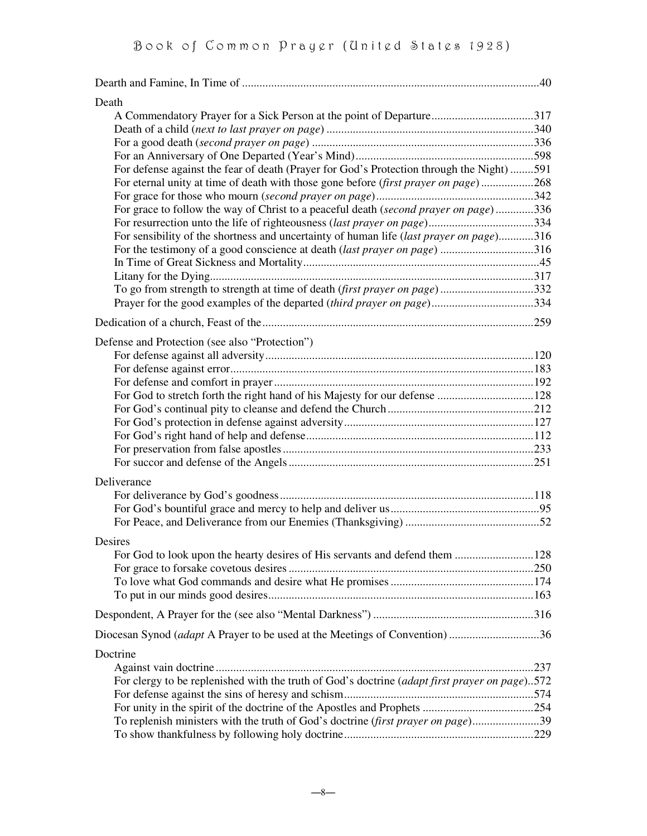| Death                                                                                         |  |
|-----------------------------------------------------------------------------------------------|--|
| A Commendatory Prayer for a Sick Person at the point of Departure317                          |  |
|                                                                                               |  |
|                                                                                               |  |
|                                                                                               |  |
| For defense against the fear of death (Prayer for God's Protection through the Night) 591     |  |
| For eternal unity at time of death with those gone before <i>(first prayer on page)</i> 268   |  |
|                                                                                               |  |
| For grace to follow the way of Christ to a peaceful death (second prayer on page)336          |  |
|                                                                                               |  |
| For sensibility of the shortness and uncertainty of human life (last prayer on page)316       |  |
| For the testimony of a good conscience at death <i>(last prayer on page)</i> 316              |  |
|                                                                                               |  |
| To go from strength to strength at time of death (first prayer on page)332                    |  |
|                                                                                               |  |
| Prayer for the good examples of the departed (third prayer on page)334                        |  |
|                                                                                               |  |
| Defense and Protection (see also "Protection")                                                |  |
|                                                                                               |  |
|                                                                                               |  |
|                                                                                               |  |
|                                                                                               |  |
|                                                                                               |  |
|                                                                                               |  |
|                                                                                               |  |
|                                                                                               |  |
|                                                                                               |  |
| Deliverance                                                                                   |  |
|                                                                                               |  |
|                                                                                               |  |
|                                                                                               |  |
|                                                                                               |  |
| Desires                                                                                       |  |
| For God to look upon the hearty desires of His servants and defend them 128                   |  |
|                                                                                               |  |
|                                                                                               |  |
|                                                                                               |  |
|                                                                                               |  |
| Diocesan Synod ( <i>adapt</i> A Prayer to be used at the Meetings of Convention) 36           |  |
| Doctrine                                                                                      |  |
|                                                                                               |  |
| For clergy to be replenished with the truth of God's doctrine (adapt first prayer on page)572 |  |
|                                                                                               |  |
|                                                                                               |  |
| To replenish ministers with the truth of God's doctrine <i>(first prayer on page)</i> 39      |  |
|                                                                                               |  |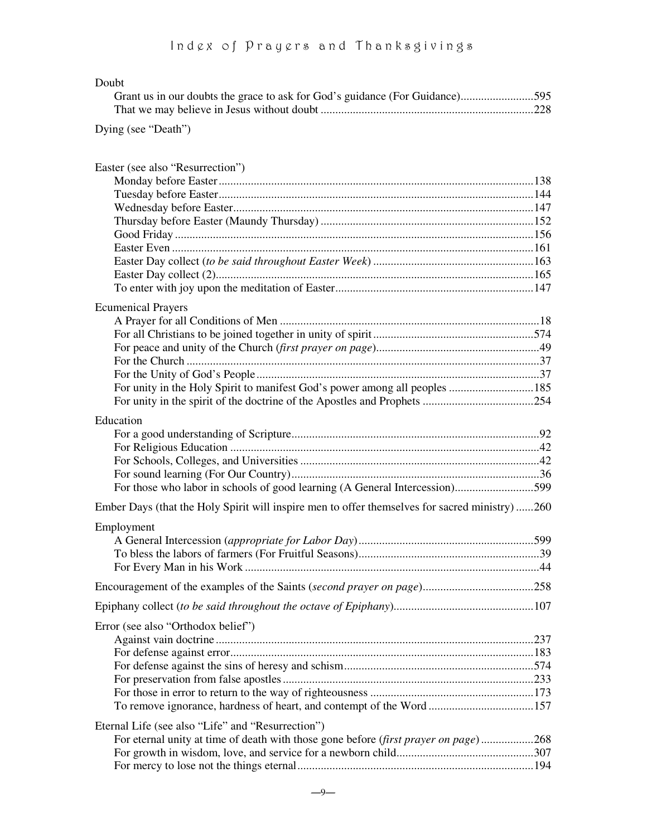| Doubt                                                                                                                                                                                                                                                                        |     |
|------------------------------------------------------------------------------------------------------------------------------------------------------------------------------------------------------------------------------------------------------------------------------|-----|
| Grant us in our doubts the grace to ask for God's guidance (For Guidance)595                                                                                                                                                                                                 |     |
|                                                                                                                                                                                                                                                                              |     |
| Dying (see "Death")                                                                                                                                                                                                                                                          |     |
| Easter (see also "Resurrection")                                                                                                                                                                                                                                             |     |
|                                                                                                                                                                                                                                                                              |     |
|                                                                                                                                                                                                                                                                              |     |
|                                                                                                                                                                                                                                                                              |     |
|                                                                                                                                                                                                                                                                              |     |
| $\alpha$ in the set of $\alpha$ in the set of $\alpha$ in the set of $\alpha$ in the set of $\alpha$ in the set of $\alpha$ in the set of $\alpha$ in the set of $\alpha$ in the set of $\alpha$ in the set of $\alpha$ in the set of $\alpha$ in the set of $\alpha$ in the | 10C |

| <b>Ecumenical Prayers</b>                                                                      |  |
|------------------------------------------------------------------------------------------------|--|
|                                                                                                |  |
|                                                                                                |  |
| For unity in the Holy Spirit to manifest God's power among all peoples  185                    |  |
|                                                                                                |  |
|                                                                                                |  |
| Education                                                                                      |  |
|                                                                                                |  |
|                                                                                                |  |
|                                                                                                |  |
|                                                                                                |  |
| For those who labor in schools of good learning (A General Intercession)599                    |  |
| Ember Days (that the Holy Spirit will inspire men to offer themselves for sacred ministry) 260 |  |
| Employment                                                                                     |  |
|                                                                                                |  |
|                                                                                                |  |
|                                                                                                |  |
|                                                                                                |  |
| Error (see also "Orthodox belief")                                                             |  |
|                                                                                                |  |
|                                                                                                |  |
|                                                                                                |  |
|                                                                                                |  |
|                                                                                                |  |
|                                                                                                |  |

| Eternal Life (see also "Life" and "Resurrection") |
|---------------------------------------------------|
|                                                   |

| For eternal unity at time of death with those gone before <i>(first prayer on page)</i> 268 |  |
|---------------------------------------------------------------------------------------------|--|
|                                                                                             |  |
|                                                                                             |  |
|                                                                                             |  |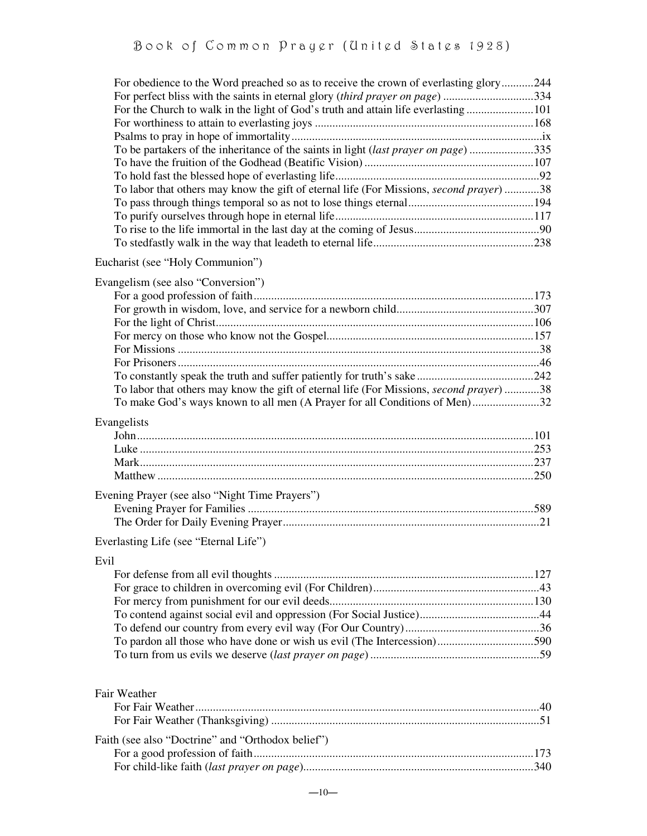| For obedience to the Word preached so as to receive the crown of everlasting glory244           |  |
|-------------------------------------------------------------------------------------------------|--|
| For perfect bliss with the saints in eternal glory (third prayer on page) 334                   |  |
|                                                                                                 |  |
|                                                                                                 |  |
|                                                                                                 |  |
| To be partakers of the inheritance of the saints in light (last prayer on page)335              |  |
|                                                                                                 |  |
| To labor that others may know the gift of eternal life (For Missions, second prayer) 38         |  |
|                                                                                                 |  |
|                                                                                                 |  |
|                                                                                                 |  |
|                                                                                                 |  |
| Eucharist (see "Holy Communion")                                                                |  |
| Evangelism (see also "Conversion")                                                              |  |
|                                                                                                 |  |
|                                                                                                 |  |
|                                                                                                 |  |
|                                                                                                 |  |
|                                                                                                 |  |
|                                                                                                 |  |
|                                                                                                 |  |
| To labor that others may know the gift of eternal life (For Missions, <i>second prayer</i> ) 38 |  |
| To make God's ways known to all men (A Prayer for all Conditions of Men)32                      |  |
| Evangelists                                                                                     |  |
|                                                                                                 |  |
|                                                                                                 |  |
|                                                                                                 |  |
|                                                                                                 |  |
| Evening Prayer (see also "Night Time Prayers")                                                  |  |
|                                                                                                 |  |
|                                                                                                 |  |
| Everlasting Life (see "Eternal Life")                                                           |  |
| Evil                                                                                            |  |
|                                                                                                 |  |
|                                                                                                 |  |
|                                                                                                 |  |
|                                                                                                 |  |
|                                                                                                 |  |
|                                                                                                 |  |
|                                                                                                 |  |
|                                                                                                 |  |
| Fair Weather                                                                                    |  |
|                                                                                                 |  |
|                                                                                                 |  |
| Faith (see also "Doctrine" and "Orthodox belief")                                               |  |

For a good profession of faith................................................................................................173 For child-like faith (*last prayer on page*)...............................................................................340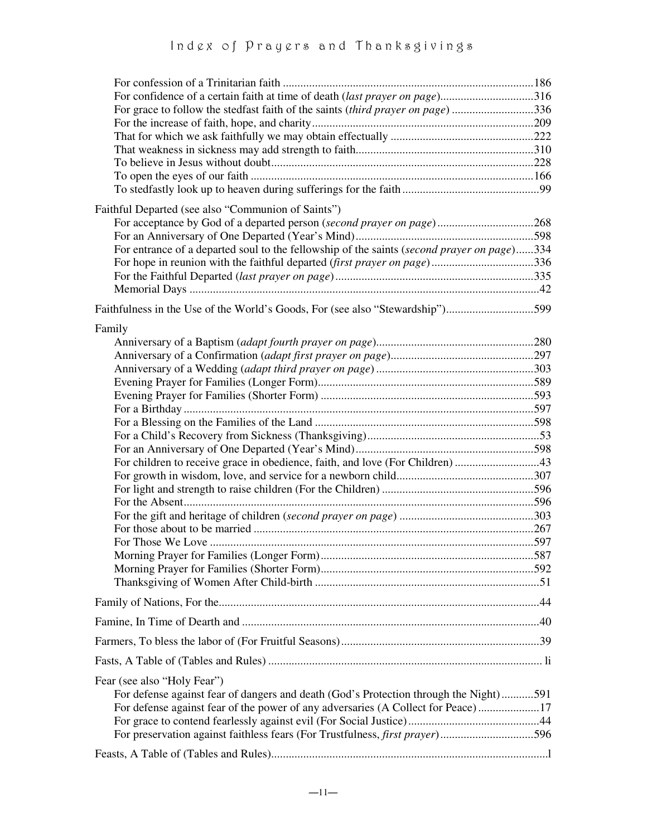| For confidence of a certain faith at time of death (last prayer on page)316<br>For grace to follow the stedfast faith of the saints (third prayer on page) 336                                                                                                                                        |  |
|-------------------------------------------------------------------------------------------------------------------------------------------------------------------------------------------------------------------------------------------------------------------------------------------------------|--|
| Faithful Departed (see also "Communion of Saints")<br>For acceptance by God of a departed person (second prayer on page)268<br>For entrance of a departed soul to the fellowship of the saints (second prayer on page)334<br>For hope in reunion with the faithful departed (first prayer on page)336 |  |
| Faithfulness in the Use of the World's Goods, For (see also "Stewardship")599                                                                                                                                                                                                                         |  |
| Family<br>For children to receive grace in obedience, faith, and love (For Children) 43                                                                                                                                                                                                               |  |
|                                                                                                                                                                                                                                                                                                       |  |
|                                                                                                                                                                                                                                                                                                       |  |
|                                                                                                                                                                                                                                                                                                       |  |
|                                                                                                                                                                                                                                                                                                       |  |
| Fear (see also "Holy Fear")<br>For defense against fear of dangers and death (God's Protection through the Night)591<br>For defense against fear of the power of any adversaries (A Collect for Peace)17<br>For preservation against faithless fears (For Trustfulness, <i>first prayer</i> )596      |  |
|                                                                                                                                                                                                                                                                                                       |  |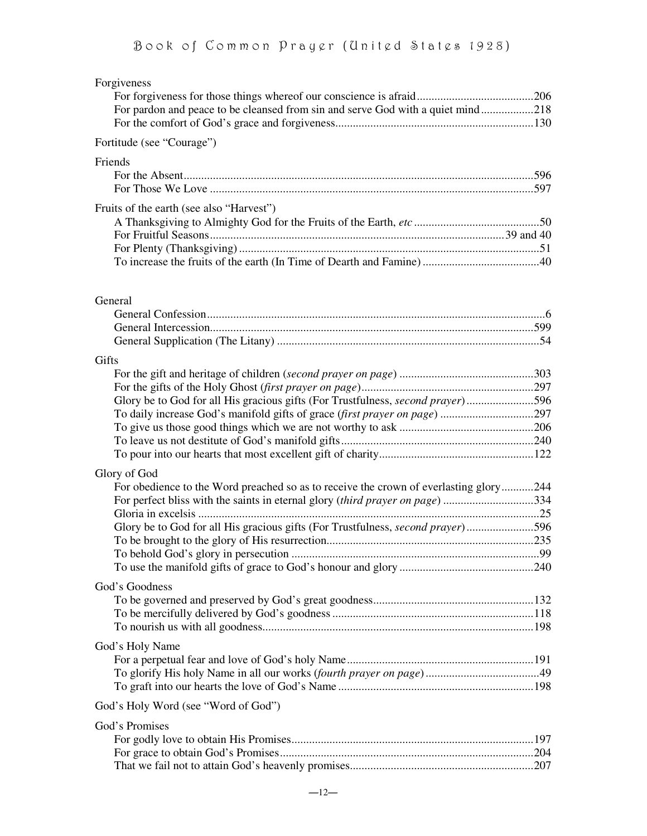| Forgiveness<br>For pardon and peace to be cleansed from sin and serve God with a quiet mind218 |  |
|------------------------------------------------------------------------------------------------|--|
| Fortitude (see "Courage")                                                                      |  |
| Friends                                                                                        |  |
|                                                                                                |  |
| Fruits of the earth (see also "Harvest")                                                       |  |
|                                                                                                |  |
|                                                                                                |  |
|                                                                                                |  |
|                                                                                                |  |
| General                                                                                        |  |
|                                                                                                |  |
|                                                                                                |  |
| Gifts                                                                                          |  |
|                                                                                                |  |
|                                                                                                |  |
| Glory be to God for all His gracious gifts (For Trustfulness, second prayer)596                |  |
|                                                                                                |  |
|                                                                                                |  |
|                                                                                                |  |
|                                                                                                |  |
| Glory of God                                                                                   |  |
| For obedience to the Word preached so as to receive the crown of everlasting glory244          |  |
| For perfect bliss with the saints in eternal glory (third prayer on page) 334                  |  |
|                                                                                                |  |
| Glory be to God for all His gracious gifts (For Trustfulness, second prayer)596                |  |
|                                                                                                |  |
|                                                                                                |  |
|                                                                                                |  |
| God's Goodness                                                                                 |  |
|                                                                                                |  |
|                                                                                                |  |
|                                                                                                |  |
| God's Holy Name                                                                                |  |
|                                                                                                |  |
|                                                                                                |  |
|                                                                                                |  |
| God's Holy Word (see "Word of God")                                                            |  |
| God's Promises                                                                                 |  |
|                                                                                                |  |
|                                                                                                |  |
|                                                                                                |  |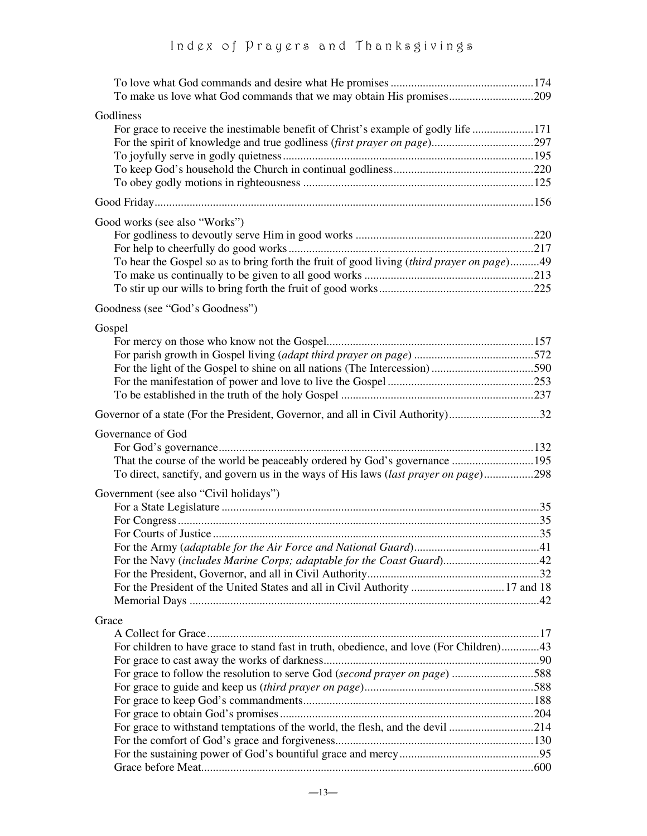| Godliness                                                                                 |  |
|-------------------------------------------------------------------------------------------|--|
| For grace to receive the inestimable benefit of Christ's example of godly life 171        |  |
|                                                                                           |  |
|                                                                                           |  |
|                                                                                           |  |
|                                                                                           |  |
|                                                                                           |  |
| Good works (see also "Works")                                                             |  |
|                                                                                           |  |
|                                                                                           |  |
| To hear the Gospel so as to bring forth the fruit of good living (third prayer on page)49 |  |
|                                                                                           |  |
|                                                                                           |  |
| Goodness (see "God's Goodness")                                                           |  |
| Gospel                                                                                    |  |
|                                                                                           |  |
|                                                                                           |  |
| For the light of the Gospel to shine on all nations (The Intercession)590                 |  |
|                                                                                           |  |
|                                                                                           |  |
| Governor of a state (For the President, Governor, and all in Civil Authority)32           |  |
| Governance of God                                                                         |  |
|                                                                                           |  |
|                                                                                           |  |
| To direct, sanctify, and govern us in the ways of His laws (last prayer on page)298       |  |
| Government (see also "Civil holidays")                                                    |  |
|                                                                                           |  |
|                                                                                           |  |
|                                                                                           |  |
|                                                                                           |  |
|                                                                                           |  |
|                                                                                           |  |
| For the President of the United States and all in Civil Authority  17 and 18              |  |
|                                                                                           |  |
| Grace                                                                                     |  |
|                                                                                           |  |
| For children to have grace to stand fast in truth, obedience, and love (For Children)43   |  |
|                                                                                           |  |
| For grace to follow the resolution to serve God (second prayer on page) 588               |  |
|                                                                                           |  |
|                                                                                           |  |
|                                                                                           |  |
| For grace to withstand temptations of the world, the flesh, and the devil 214             |  |
|                                                                                           |  |
|                                                                                           |  |
|                                                                                           |  |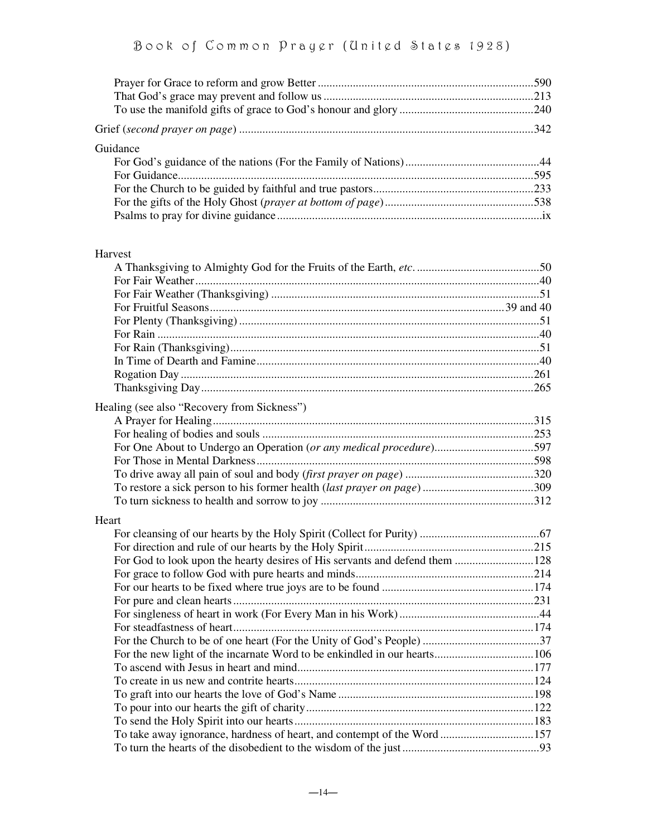| Guidance |  |
|----------|--|
|          |  |
|          |  |
|          |  |
|          |  |
|          |  |

#### Harvest

| Healing (see also "Recovery from Sickness")                             |  |
|-------------------------------------------------------------------------|--|
|                                                                         |  |
|                                                                         |  |
|                                                                         |  |
|                                                                         |  |
|                                                                         |  |
|                                                                         |  |
|                                                                         |  |
| Heart                                                                   |  |
|                                                                         |  |
|                                                                         |  |
|                                                                         |  |
|                                                                         |  |
|                                                                         |  |
|                                                                         |  |
|                                                                         |  |
|                                                                         |  |
|                                                                         |  |
|                                                                         |  |
|                                                                         |  |
|                                                                         |  |
|                                                                         |  |
|                                                                         |  |
|                                                                         |  |
| To take away ignorance, hardness of heart, and contempt of the Word 157 |  |
|                                                                         |  |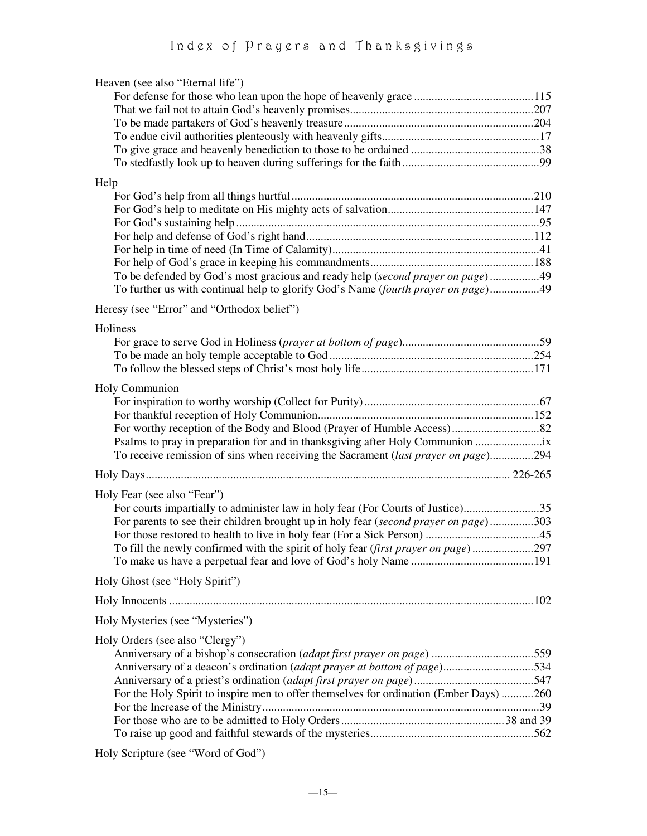| Heaven (see also "Eternal life")                                                       |  |
|----------------------------------------------------------------------------------------|--|
|                                                                                        |  |
|                                                                                        |  |
|                                                                                        |  |
|                                                                                        |  |
|                                                                                        |  |
|                                                                                        |  |
| Help                                                                                   |  |
|                                                                                        |  |
|                                                                                        |  |
|                                                                                        |  |
|                                                                                        |  |
|                                                                                        |  |
|                                                                                        |  |
| To be defended by God's most gracious and ready help (second prayer on page)49         |  |
| To further us with continual help to glorify God's Name (fourth prayer on page)49      |  |
| Heresy (see "Error" and "Orthodox belief")                                             |  |
| Holiness                                                                               |  |
|                                                                                        |  |
|                                                                                        |  |
|                                                                                        |  |
|                                                                                        |  |
| Holy Communion                                                                         |  |
|                                                                                        |  |
|                                                                                        |  |
|                                                                                        |  |
| Psalms to pray in preparation for and in thanksgiving after Holy Communion             |  |
| To receive remission of sins when receiving the Sacrament (last prayer on page)294     |  |
|                                                                                        |  |
| Holy Fear (see also "Fear")                                                            |  |
| For courts impartially to administer law in holy fear (For Courts of Justice)35        |  |
| For parents to see their children brought up in holy fear (second prayer on page)303   |  |
|                                                                                        |  |
| To fill the newly confirmed with the spirit of holy fear (first prayer on page)297     |  |
|                                                                                        |  |
| Holy Ghost (see "Holy Spirit")                                                         |  |
|                                                                                        |  |
| Holy Mysteries (see "Mysteries")                                                       |  |
|                                                                                        |  |
| Holy Orders (see also "Clergy")                                                        |  |
|                                                                                        |  |
| Anniversary of a deacon's ordination (adapt prayer at bottom of page)534               |  |
|                                                                                        |  |
| For the Holy Spirit to inspire men to offer themselves for ordination (Ember Days) 260 |  |
|                                                                                        |  |
|                                                                                        |  |
|                                                                                        |  |

Holy Scripture (see "Word of God")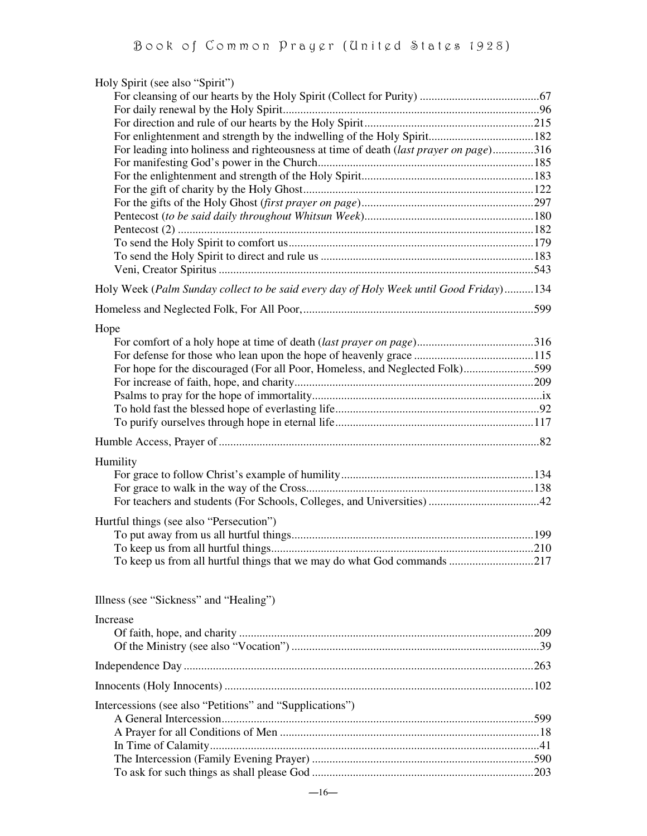| Holy Spirit (see also "Spirit")                                                        |  |
|----------------------------------------------------------------------------------------|--|
|                                                                                        |  |
|                                                                                        |  |
|                                                                                        |  |
|                                                                                        |  |
| For leading into holiness and righteousness at time of death (last prayer on page)316  |  |
|                                                                                        |  |
|                                                                                        |  |
|                                                                                        |  |
|                                                                                        |  |
|                                                                                        |  |
|                                                                                        |  |
|                                                                                        |  |
|                                                                                        |  |
| Holy Week (Palm Sunday collect to be said every day of Holy Week until Good Friday)134 |  |
|                                                                                        |  |
| Hope                                                                                   |  |
|                                                                                        |  |
|                                                                                        |  |
| For hope for the discouraged (For all Poor, Homeless, and Neglected Folk)599           |  |
|                                                                                        |  |
|                                                                                        |  |
|                                                                                        |  |
|                                                                                        |  |
|                                                                                        |  |
| Humility                                                                               |  |
|                                                                                        |  |
|                                                                                        |  |
|                                                                                        |  |
| Hurtful things (see also "Persecution")                                                |  |
|                                                                                        |  |
|                                                                                        |  |
| To keep us from all hurtful things that we may do what God commands 217                |  |
| Illness (see "Sickness" and "Healing")                                                 |  |
|                                                                                        |  |
| <b>Increase</b>                                                                        |  |
|                                                                                        |  |
|                                                                                        |  |
|                                                                                        |  |
| Intercessions (see also "Petitions" and "Supplications")                               |  |
|                                                                                        |  |
|                                                                                        |  |
|                                                                                        |  |
|                                                                                        |  |
|                                                                                        |  |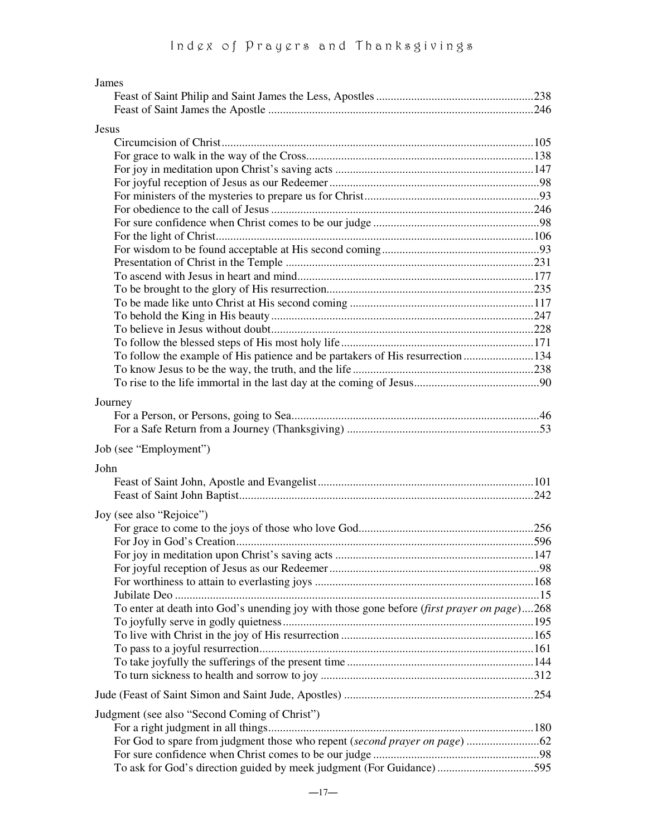| James                                                                                      |  |
|--------------------------------------------------------------------------------------------|--|
|                                                                                            |  |
|                                                                                            |  |
| <b>Jesus</b>                                                                               |  |
|                                                                                            |  |
|                                                                                            |  |
|                                                                                            |  |
|                                                                                            |  |
|                                                                                            |  |
|                                                                                            |  |
|                                                                                            |  |
|                                                                                            |  |
|                                                                                            |  |
|                                                                                            |  |
|                                                                                            |  |
|                                                                                            |  |
|                                                                                            |  |
|                                                                                            |  |
|                                                                                            |  |
|                                                                                            |  |
| To follow the example of His patience and be partakers of His resurrection134              |  |
|                                                                                            |  |
|                                                                                            |  |
|                                                                                            |  |
| Journey                                                                                    |  |
|                                                                                            |  |
|                                                                                            |  |
| Job (see "Employment")                                                                     |  |
| John                                                                                       |  |
|                                                                                            |  |
|                                                                                            |  |
|                                                                                            |  |
| Joy (see also "Rejoice")                                                                   |  |
|                                                                                            |  |
|                                                                                            |  |
|                                                                                            |  |
|                                                                                            |  |
|                                                                                            |  |
|                                                                                            |  |
| To enter at death into God's unending joy with those gone before (first prayer on page)268 |  |
|                                                                                            |  |
|                                                                                            |  |
|                                                                                            |  |
|                                                                                            |  |
|                                                                                            |  |
|                                                                                            |  |
|                                                                                            |  |
| Judgment (see also "Second Coming of Christ")                                              |  |
|                                                                                            |  |
|                                                                                            |  |
| To ask for God's direction guided by meek judgment (For Guidance) 595                      |  |
|                                                                                            |  |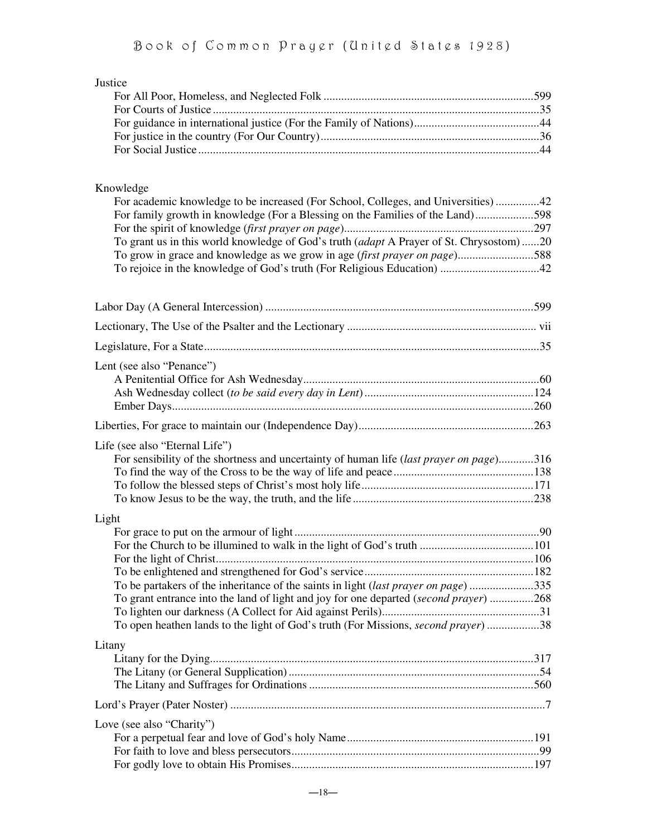| Justice                                                                                 |  |
|-----------------------------------------------------------------------------------------|--|
|                                                                                         |  |
|                                                                                         |  |
|                                                                                         |  |
|                                                                                         |  |
|                                                                                         |  |
| Knowledge                                                                               |  |
| For academic knowledge to be increased (For School, Colleges, and Universities)42       |  |
| For family growth in knowledge (For a Blessing on the Families of the Land)598          |  |
| To grant us in this world knowledge of God's truth (adapt A Prayer of St. Chrysostom)20 |  |
| To grow in grace and knowledge as we grow in age (first prayer on page)588              |  |
|                                                                                         |  |
|                                                                                         |  |
|                                                                                         |  |
|                                                                                         |  |
| Lent (see also "Penance")                                                               |  |
|                                                                                         |  |
|                                                                                         |  |
|                                                                                         |  |
|                                                                                         |  |
| Life (see also "Eternal Life")                                                          |  |
| For sensibility of the shortness and uncertainty of human life (last prayer on page)316 |  |
|                                                                                         |  |
|                                                                                         |  |
|                                                                                         |  |
| Light                                                                                   |  |
|                                                                                         |  |
|                                                                                         |  |
|                                                                                         |  |
| To be partakers of the inheritance of the saints in light (last prayer on page)335      |  |
| To grant entrance into the land of light and joy for one departed (second prayer) 268   |  |
|                                                                                         |  |
| To open heathen lands to the light of God's truth (For Missions, second prayer) 38      |  |
| Litany                                                                                  |  |
|                                                                                         |  |
|                                                                                         |  |
|                                                                                         |  |
|                                                                                         |  |
| Love (see also "Charity")                                                               |  |
|                                                                                         |  |
|                                                                                         |  |
|                                                                                         |  |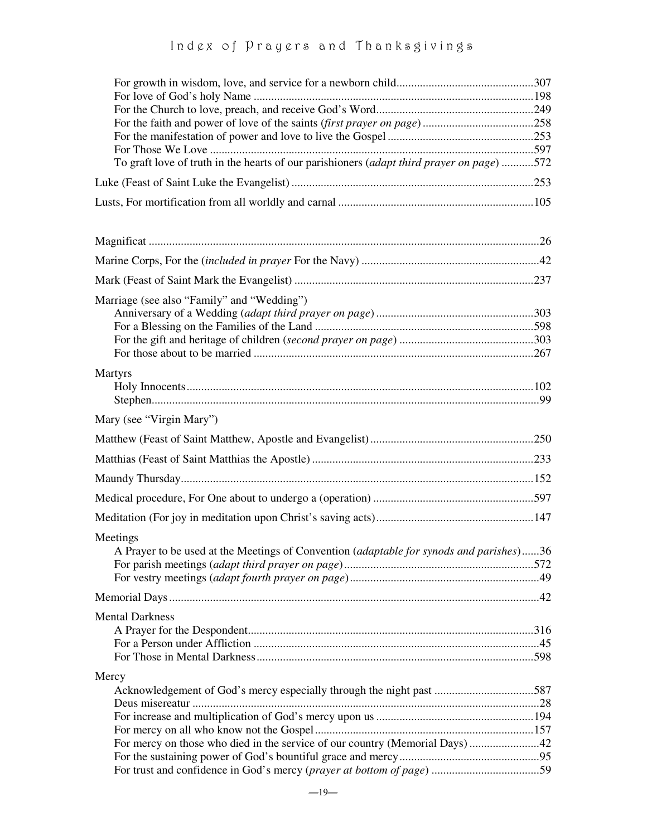# Ind g x of Pray g rs and Thanksgivings

| To graft love of truth in the hearts of our parishioners (adapt third prayer on page) 572 |  |
|-------------------------------------------------------------------------------------------|--|
|                                                                                           |  |
|                                                                                           |  |
|                                                                                           |  |
|                                                                                           |  |
|                                                                                           |  |
|                                                                                           |  |
| Marriage (see also "Family" and "Wedding")                                                |  |
|                                                                                           |  |
|                                                                                           |  |
|                                                                                           |  |
|                                                                                           |  |
| Martyrs                                                                                   |  |
|                                                                                           |  |
|                                                                                           |  |
| Mary (see "Virgin Mary")                                                                  |  |
|                                                                                           |  |
|                                                                                           |  |
|                                                                                           |  |
|                                                                                           |  |
|                                                                                           |  |
| Meetings                                                                                  |  |
| A Prayer to be used at the Meetings of Convention (adaptable for synods and parishes)36   |  |
|                                                                                           |  |
|                                                                                           |  |
|                                                                                           |  |
| <b>Mental Darkness</b>                                                                    |  |
|                                                                                           |  |
|                                                                                           |  |
|                                                                                           |  |
| Mercy                                                                                     |  |
| Acknowledgement of God's mercy especially through the night past 587                      |  |
|                                                                                           |  |
|                                                                                           |  |
| For mercy on those who died in the service of our country (Memorial Days) 42              |  |
|                                                                                           |  |
|                                                                                           |  |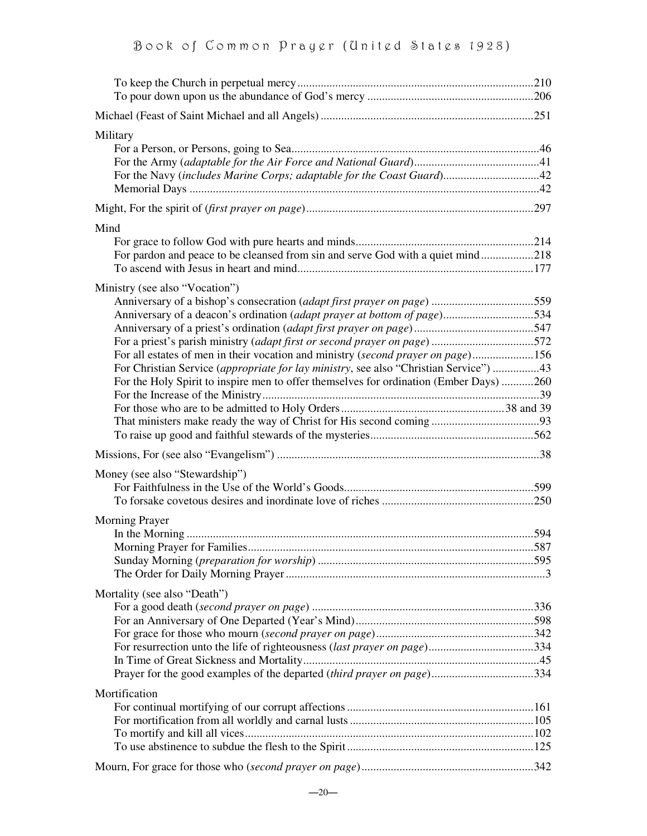| Military<br>For the Navy (includes Marine Corps; adaptable for the Coast Guard)42                                                                                                                                                                                                                                                                                                                                                                                                                                                               |  |
|-------------------------------------------------------------------------------------------------------------------------------------------------------------------------------------------------------------------------------------------------------------------------------------------------------------------------------------------------------------------------------------------------------------------------------------------------------------------------------------------------------------------------------------------------|--|
|                                                                                                                                                                                                                                                                                                                                                                                                                                                                                                                                                 |  |
| Mind<br>For pardon and peace to be cleansed from sin and serve God with a quiet mind218                                                                                                                                                                                                                                                                                                                                                                                                                                                         |  |
| Ministry (see also "Vocation")<br>Anniversary of a bishop's consecration <i>(adapt first prayer on page)</i> 559<br>Anniversary of a deacon's ordination (adapt prayer at bottom of page)534<br>For a priest's parish ministry (adapt first or second prayer on page)572<br>For all estates of men in their vocation and ministry (second prayer on page)156<br>For Christian Service (appropriate for lay ministry, see also "Christian Service") 43<br>For the Holy Spirit to inspire men to offer themselves for ordination (Ember Days) 260 |  |
|                                                                                                                                                                                                                                                                                                                                                                                                                                                                                                                                                 |  |
| Money (see also "Stewardship")                                                                                                                                                                                                                                                                                                                                                                                                                                                                                                                  |  |
| <b>Morning Prayer</b>                                                                                                                                                                                                                                                                                                                                                                                                                                                                                                                           |  |
| Mortality (see also "Death")<br>Prayer for the good examples of the departed (third prayer on page)334                                                                                                                                                                                                                                                                                                                                                                                                                                          |  |
| Mortification                                                                                                                                                                                                                                                                                                                                                                                                                                                                                                                                   |  |
|                                                                                                                                                                                                                                                                                                                                                                                                                                                                                                                                                 |  |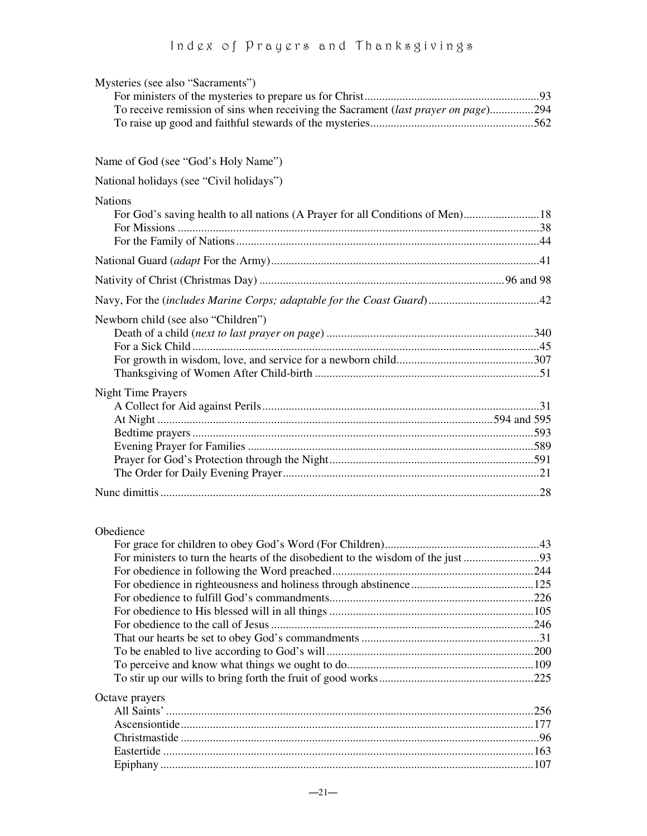# Ind g x of Pray g rs and Thanksgivings

| Mysteries (see also "Sacraments")                                                  |     |
|------------------------------------------------------------------------------------|-----|
|                                                                                    |     |
| To receive remission of sins when receiving the Sacrament (last prayer on page)294 |     |
|                                                                                    |     |
|                                                                                    |     |
| Name of God (see "God's Holy Name")                                                |     |
| National holidays (see "Civil holidays")                                           |     |
| <b>Nations</b>                                                                     |     |
|                                                                                    |     |
|                                                                                    |     |
|                                                                                    |     |
|                                                                                    |     |
|                                                                                    |     |
| Newborn child (see also "Children")                                                |     |
|                                                                                    |     |
|                                                                                    |     |
|                                                                                    |     |
| <b>Night Time Prayers</b>                                                          |     |
|                                                                                    |     |
|                                                                                    |     |
|                                                                                    |     |
|                                                                                    |     |
|                                                                                    |     |
|                                                                                    |     |
|                                                                                    |     |
|                                                                                    |     |
| Obedience                                                                          | .43 |
|                                                                                    |     |
|                                                                                    |     |
|                                                                                    |     |
|                                                                                    |     |
|                                                                                    |     |
|                                                                                    |     |
|                                                                                    |     |
|                                                                                    |     |
|                                                                                    |     |
|                                                                                    |     |
| Octave prayers                                                                     |     |
|                                                                                    |     |
|                                                                                    |     |
|                                                                                    |     |
|                                                                                    |     |
|                                                                                    |     |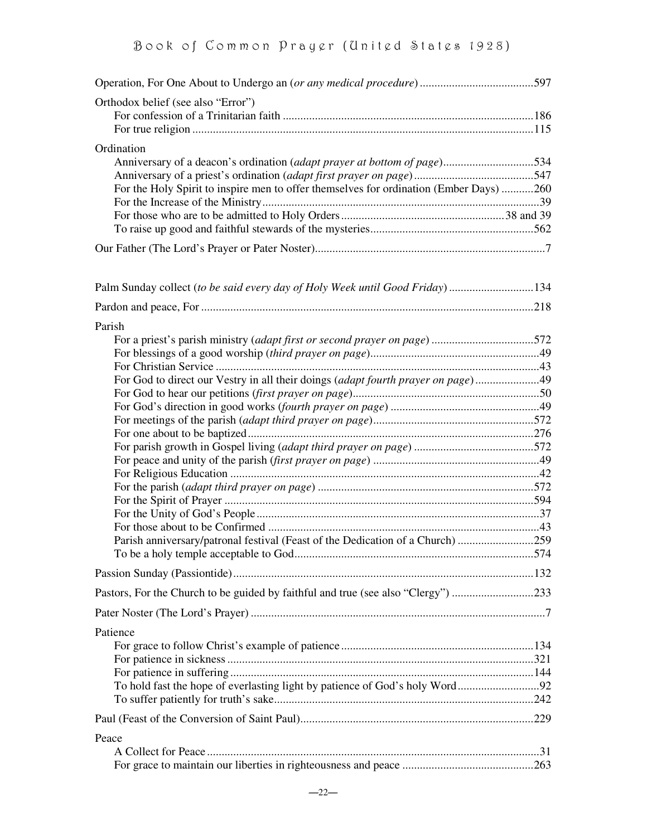| Orthodox belief (see also "Error")                                                     |  |
|----------------------------------------------------------------------------------------|--|
|                                                                                        |  |
|                                                                                        |  |
| Ordination                                                                             |  |
| Anniversary of a deacon's ordination (adapt prayer at bottom of page)534               |  |
|                                                                                        |  |
| For the Holy Spirit to inspire men to offer themselves for ordination (Ember Days) 260 |  |
|                                                                                        |  |
|                                                                                        |  |
|                                                                                        |  |
|                                                                                        |  |
| Palm Sunday collect (to be said every day of Holy Week until Good Friday) 134          |  |
|                                                                                        |  |
|                                                                                        |  |
| Parish                                                                                 |  |
| For a priest's parish ministry (adapt first or second prayer on page)572               |  |
|                                                                                        |  |
|                                                                                        |  |
| For God to direct our Vestry in all their doings (adapt fourth prayer on page)49       |  |
|                                                                                        |  |
|                                                                                        |  |
|                                                                                        |  |
|                                                                                        |  |
|                                                                                        |  |
|                                                                                        |  |
|                                                                                        |  |
|                                                                                        |  |
|                                                                                        |  |
|                                                                                        |  |
|                                                                                        |  |
| Parish anniversary/patronal festival (Feast of the Dedication of a Church) 259         |  |
|                                                                                        |  |
|                                                                                        |  |
| Pastors, For the Church to be guided by faithful and true (see also "Clergy") 233      |  |
|                                                                                        |  |
| Patience                                                                               |  |
|                                                                                        |  |
|                                                                                        |  |
|                                                                                        |  |
|                                                                                        |  |
|                                                                                        |  |
|                                                                                        |  |
| Peace                                                                                  |  |
|                                                                                        |  |
|                                                                                        |  |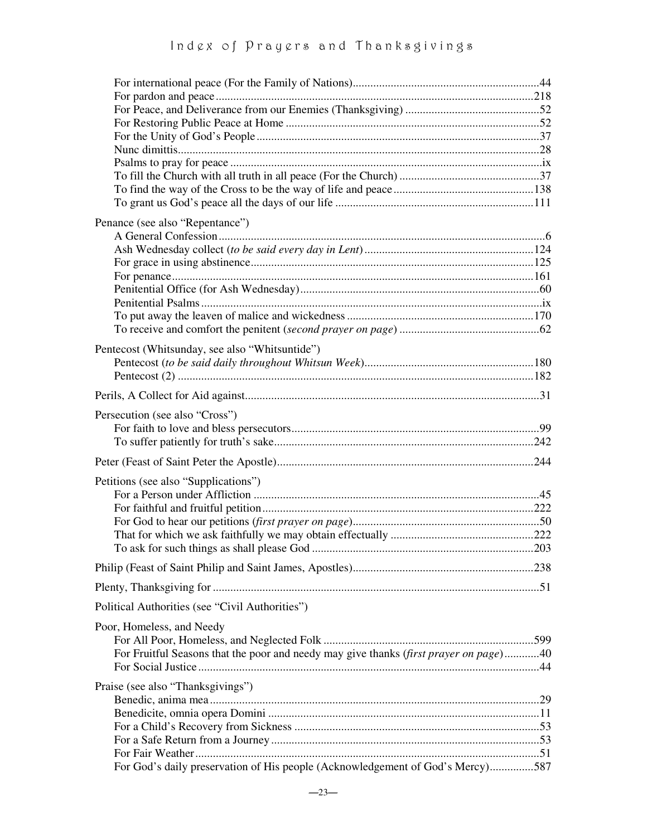# Ind g x of Pray g rs and Thanksgivings

| Penance (see also "Repentance")                                                       |  |
|---------------------------------------------------------------------------------------|--|
|                                                                                       |  |
|                                                                                       |  |
|                                                                                       |  |
|                                                                                       |  |
|                                                                                       |  |
|                                                                                       |  |
|                                                                                       |  |
|                                                                                       |  |
| Pentecost (Whitsunday, see also "Whitsuntide")                                        |  |
|                                                                                       |  |
|                                                                                       |  |
|                                                                                       |  |
| Persecution (see also "Cross")                                                        |  |
|                                                                                       |  |
|                                                                                       |  |
|                                                                                       |  |
| Petitions (see also "Supplications")                                                  |  |
|                                                                                       |  |
|                                                                                       |  |
|                                                                                       |  |
|                                                                                       |  |
|                                                                                       |  |
|                                                                                       |  |
|                                                                                       |  |
| Political Authorities (see "Civil Authorities")                                       |  |
| Poor, Homeless, and Needy                                                             |  |
|                                                                                       |  |
| For Fruitful Seasons that the poor and needy may give thanks (first prayer on page)40 |  |
|                                                                                       |  |
| Praise (see also "Thanksgivings")                                                     |  |
|                                                                                       |  |
|                                                                                       |  |
|                                                                                       |  |
|                                                                                       |  |
| For God's daily preservation of His people (Acknowledgement of God's Mercy)587        |  |
|                                                                                       |  |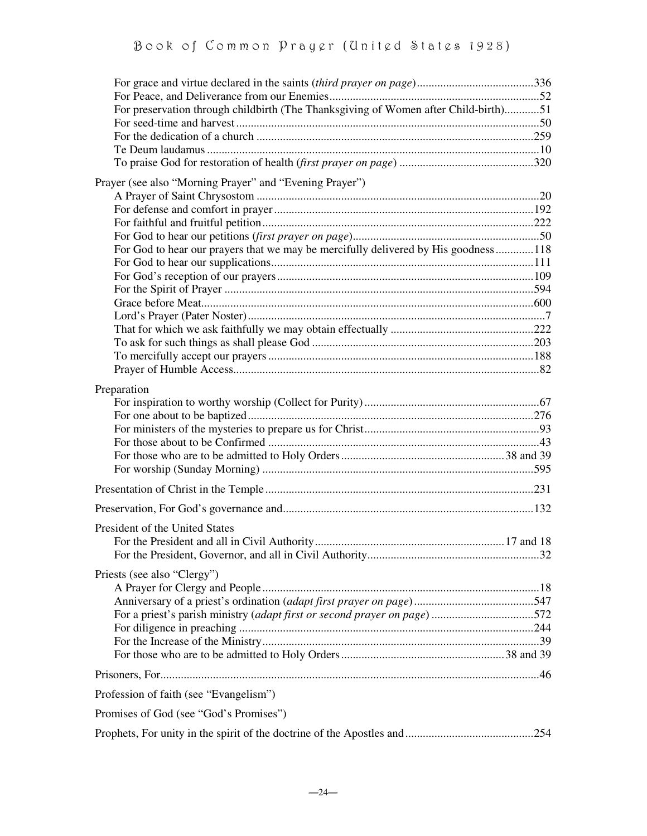| For preservation through childbirth (The Thanksgiving of Women after Child-birth)51 |  |
|-------------------------------------------------------------------------------------|--|
|                                                                                     |  |
|                                                                                     |  |
|                                                                                     |  |
|                                                                                     |  |
| Prayer (see also "Morning Prayer" and "Evening Prayer")                             |  |
|                                                                                     |  |
|                                                                                     |  |
|                                                                                     |  |
|                                                                                     |  |
| For God to hear our prayers that we may be mercifully delivered by His goodness118  |  |
|                                                                                     |  |
|                                                                                     |  |
|                                                                                     |  |
|                                                                                     |  |
|                                                                                     |  |
|                                                                                     |  |
|                                                                                     |  |
|                                                                                     |  |
|                                                                                     |  |
| Preparation                                                                         |  |
|                                                                                     |  |
|                                                                                     |  |
|                                                                                     |  |
|                                                                                     |  |
|                                                                                     |  |
|                                                                                     |  |
|                                                                                     |  |
|                                                                                     |  |
| President of the United States                                                      |  |
|                                                                                     |  |
|                                                                                     |  |
| Priests (see also "Clergy")                                                         |  |
|                                                                                     |  |
|                                                                                     |  |
|                                                                                     |  |
|                                                                                     |  |
|                                                                                     |  |
|                                                                                     |  |
|                                                                                     |  |
| Profession of faith (see "Evangelism")                                              |  |
| Promises of God (see "God's Promises")                                              |  |
|                                                                                     |  |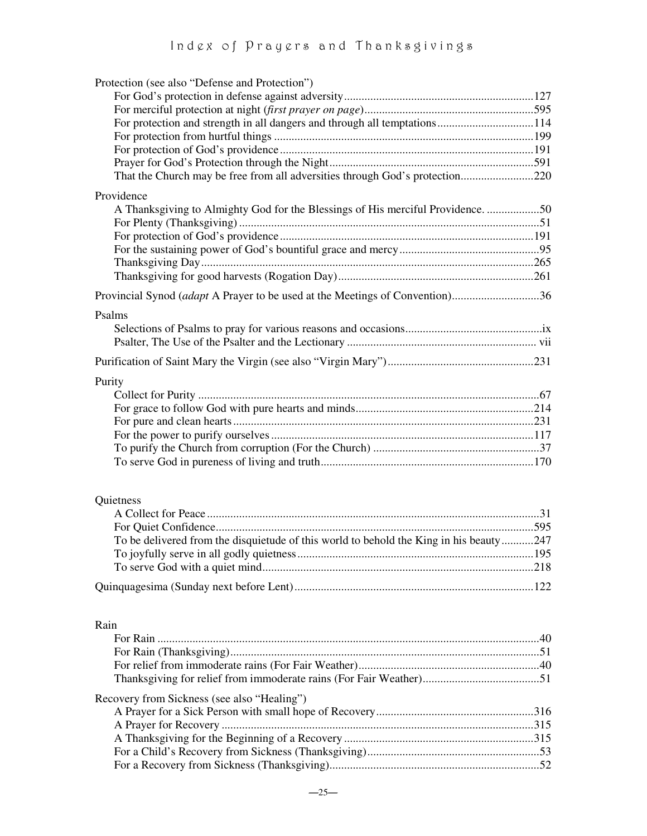| Protection (see also "Defense and Protection")                                         |  |
|----------------------------------------------------------------------------------------|--|
|                                                                                        |  |
|                                                                                        |  |
| For protection and strength in all dangers and through all temptations114              |  |
|                                                                                        |  |
|                                                                                        |  |
|                                                                                        |  |
| That the Church may be free from all adversities through God's protection220           |  |
| Providence                                                                             |  |
| A Thanksgiving to Almighty God for the Blessings of His merciful Providence50          |  |
|                                                                                        |  |
|                                                                                        |  |
|                                                                                        |  |
|                                                                                        |  |
|                                                                                        |  |
|                                                                                        |  |
| Provincial Synod <i>(adapt</i> A Prayer to be used at the Meetings of Convention)36    |  |
| Psalms                                                                                 |  |
|                                                                                        |  |
|                                                                                        |  |
|                                                                                        |  |
|                                                                                        |  |
| Purity                                                                                 |  |
|                                                                                        |  |
|                                                                                        |  |
|                                                                                        |  |
|                                                                                        |  |
|                                                                                        |  |
|                                                                                        |  |
|                                                                                        |  |
|                                                                                        |  |
| Quietness                                                                              |  |
|                                                                                        |  |
|                                                                                        |  |
| To be delivered from the disquietude of this world to behold the King in his beauty247 |  |
|                                                                                        |  |
|                                                                                        |  |
|                                                                                        |  |
|                                                                                        |  |
|                                                                                        |  |
| Rain                                                                                   |  |
|                                                                                        |  |
|                                                                                        |  |
|                                                                                        |  |
|                                                                                        |  |
| Recovery from Sickness (see also "Healing")                                            |  |
|                                                                                        |  |
|                                                                                        |  |
|                                                                                        |  |
|                                                                                        |  |
|                                                                                        |  |
|                                                                                        |  |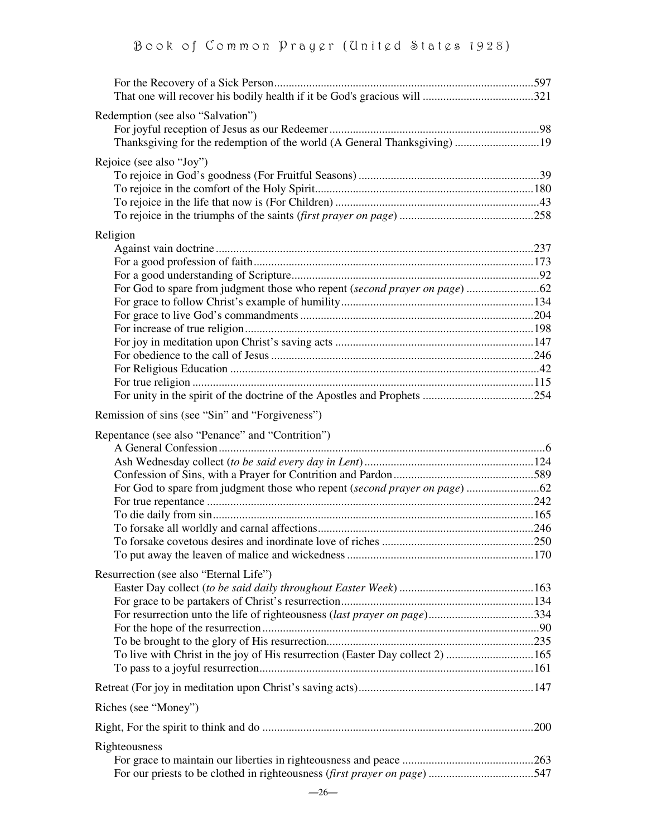| Redemption (see also "Salvation")                                             |  |
|-------------------------------------------------------------------------------|--|
| Thanksgiving for the redemption of the world (A General Thanksgiving) 19      |  |
|                                                                               |  |
| Rejoice (see also "Joy")                                                      |  |
|                                                                               |  |
|                                                                               |  |
|                                                                               |  |
| Religion                                                                      |  |
|                                                                               |  |
|                                                                               |  |
|                                                                               |  |
|                                                                               |  |
|                                                                               |  |
|                                                                               |  |
|                                                                               |  |
|                                                                               |  |
|                                                                               |  |
|                                                                               |  |
|                                                                               |  |
| Remission of sins (see "Sin" and "Forgiveness")                               |  |
|                                                                               |  |
| Repentance (see also "Penance" and "Contrition")                              |  |
|                                                                               |  |
|                                                                               |  |
|                                                                               |  |
|                                                                               |  |
|                                                                               |  |
|                                                                               |  |
|                                                                               |  |
|                                                                               |  |
| Resurrection (see also "Eternal Life")                                        |  |
|                                                                               |  |
|                                                                               |  |
| For resurrection unto the life of righteousness (last prayer on page)334      |  |
|                                                                               |  |
| To live with Christ in the joy of His resurrection (Easter Day collect 2) 165 |  |
|                                                                               |  |
|                                                                               |  |
|                                                                               |  |
| Riches (see "Money")                                                          |  |
|                                                                               |  |
| Righteousness                                                                 |  |
|                                                                               |  |
|                                                                               |  |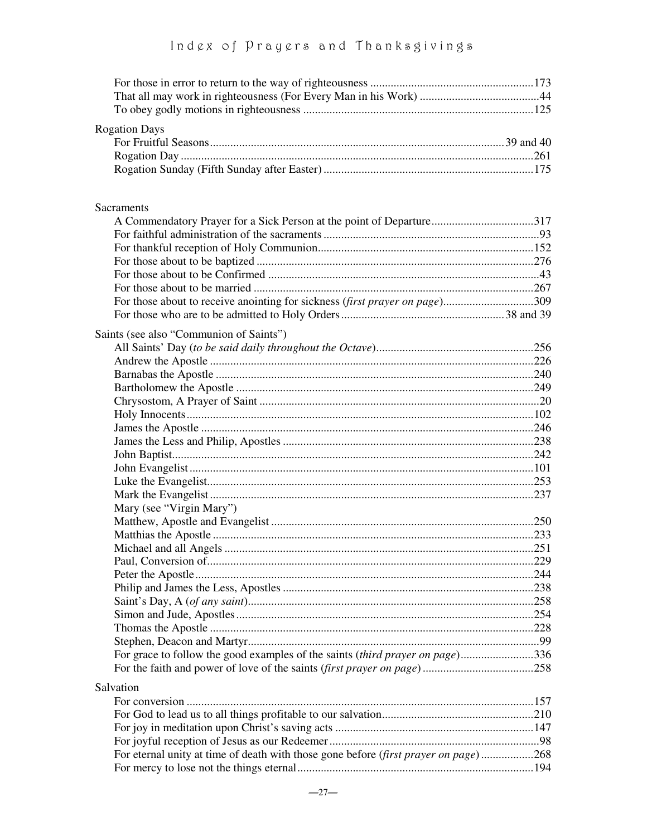| <b>Rogation Days</b>                                                                |  |
|-------------------------------------------------------------------------------------|--|
|                                                                                     |  |
|                                                                                     |  |
|                                                                                     |  |
|                                                                                     |  |
| Sacraments                                                                          |  |
|                                                                                     |  |
|                                                                                     |  |
|                                                                                     |  |
|                                                                                     |  |
|                                                                                     |  |
|                                                                                     |  |
| For those about to receive anointing for sickness (first prayer on page)309         |  |
|                                                                                     |  |
| Saints (see also "Communion of Saints")                                             |  |
|                                                                                     |  |
|                                                                                     |  |
|                                                                                     |  |
|                                                                                     |  |
|                                                                                     |  |
|                                                                                     |  |
|                                                                                     |  |
|                                                                                     |  |
|                                                                                     |  |
|                                                                                     |  |
|                                                                                     |  |
|                                                                                     |  |
| Mary (see "Virgin Mary")                                                            |  |
|                                                                                     |  |
|                                                                                     |  |
|                                                                                     |  |
|                                                                                     |  |
|                                                                                     |  |
|                                                                                     |  |
|                                                                                     |  |
|                                                                                     |  |
|                                                                                     |  |
|                                                                                     |  |
| For grace to follow the good examples of the saints (third prayer on page)336       |  |
|                                                                                     |  |
| Salvation                                                                           |  |
|                                                                                     |  |
|                                                                                     |  |
|                                                                                     |  |
|                                                                                     |  |
| For eternal unity at time of death with those gone before (first prayer on page)268 |  |
|                                                                                     |  |
|                                                                                     |  |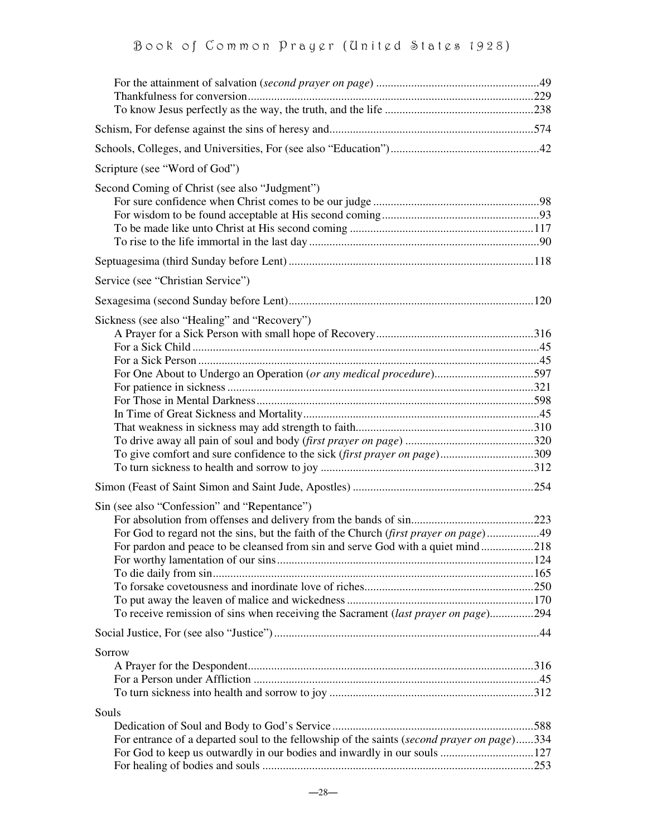| Scripture (see "Word of God")                                                              |  |
|--------------------------------------------------------------------------------------------|--|
| Second Coming of Christ (see also "Judgment")                                              |  |
|                                                                                            |  |
| Service (see "Christian Service")                                                          |  |
|                                                                                            |  |
| Sickness (see also "Healing" and "Recovery")                                               |  |
| For One About to Undergo an Operation (or any medical procedure)597                        |  |
|                                                                                            |  |
|                                                                                            |  |
|                                                                                            |  |
|                                                                                            |  |
| To give comfort and sure confidence to the sick (first prayer on page)309                  |  |
|                                                                                            |  |
| Sin (see also "Confession" and "Repentance")                                               |  |
|                                                                                            |  |
| For God to regard not the sins, but the faith of the Church (first prayer on page)49       |  |
| For pardon and peace to be cleansed from sin and serve God with a quiet mind218            |  |
|                                                                                            |  |
|                                                                                            |  |
|                                                                                            |  |
| To receive remission of sins when receiving the Sacrament (last prayer on page)294         |  |
|                                                                                            |  |
| Sorrow                                                                                     |  |
|                                                                                            |  |
|                                                                                            |  |
| Souls                                                                                      |  |
|                                                                                            |  |
| For entrance of a departed soul to the fellowship of the saints (second prayer on page)334 |  |
|                                                                                            |  |
|                                                                                            |  |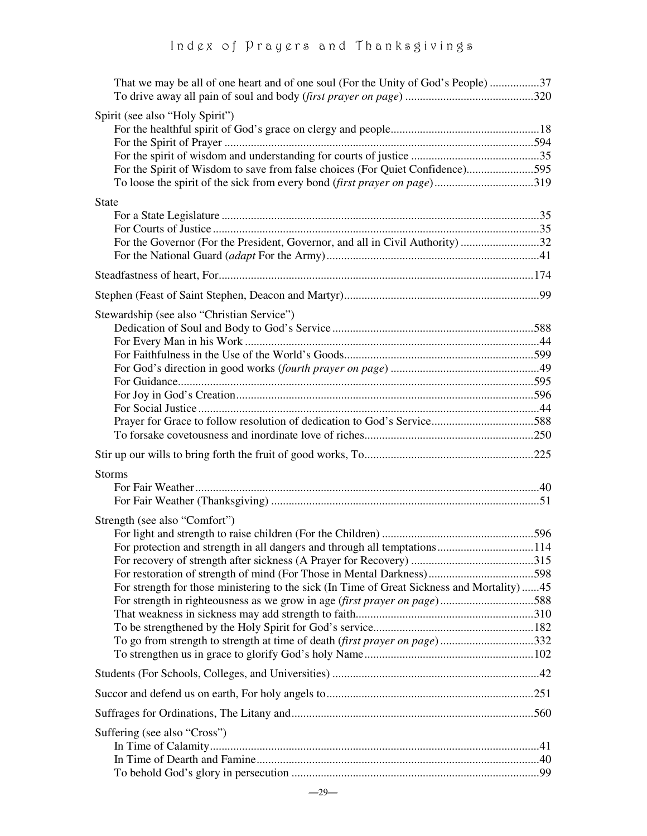| That we may be all of one heart and of one soul (For the Unity of God's People) 37         |  |
|--------------------------------------------------------------------------------------------|--|
|                                                                                            |  |
| Spirit (see also "Holy Spirit")                                                            |  |
|                                                                                            |  |
|                                                                                            |  |
| For the Spirit of Wisdom to save from false choices (For Quiet Confidence)595              |  |
| To loose the spirit of the sick from every bond (first prayer on page)319                  |  |
| <b>State</b>                                                                               |  |
|                                                                                            |  |
|                                                                                            |  |
| For the Governor (For the President, Governor, and all in Civil Authority) 32              |  |
|                                                                                            |  |
|                                                                                            |  |
|                                                                                            |  |
| Stewardship (see also "Christian Service")                                                 |  |
|                                                                                            |  |
|                                                                                            |  |
|                                                                                            |  |
|                                                                                            |  |
|                                                                                            |  |
|                                                                                            |  |
|                                                                                            |  |
|                                                                                            |  |
|                                                                                            |  |
|                                                                                            |  |
| <b>Storms</b>                                                                              |  |
|                                                                                            |  |
|                                                                                            |  |
| Strength (see also "Comfort")                                                              |  |
|                                                                                            |  |
| For protection and strength in all dangers and through all temptations114                  |  |
|                                                                                            |  |
|                                                                                            |  |
| For strength for those ministering to the sick (In Time of Great Sickness and Mortality)45 |  |
| For strength in righteousness as we grow in age (first prayer on page)588                  |  |
|                                                                                            |  |
| To go from strength to strength at time of death (first prayer on page)332                 |  |
|                                                                                            |  |
|                                                                                            |  |
|                                                                                            |  |
|                                                                                            |  |
| Suffering (see also "Cross")                                                               |  |
|                                                                                            |  |
|                                                                                            |  |
|                                                                                            |  |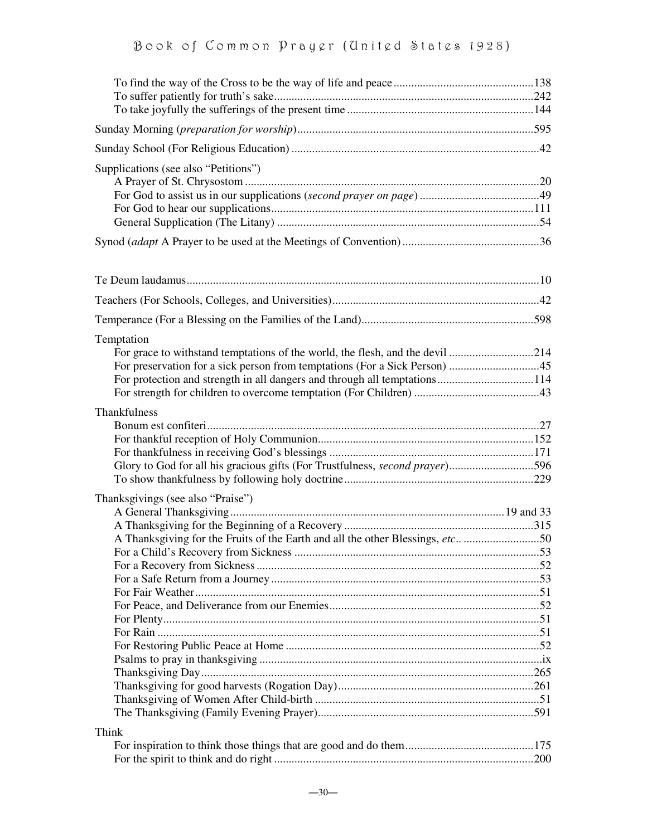| Supplications (see also "Petitions")                                                                               |  |
|--------------------------------------------------------------------------------------------------------------------|--|
|                                                                                                                    |  |
|                                                                                                                    |  |
|                                                                                                                    |  |
|                                                                                                                    |  |
| Temptation<br>For grace to withstand temptations of the world, the flesh, and the devil 214                        |  |
| Thankfulness<br>Glory to God for all his gracious gifts (For Trustfulness, second prayer)596                       |  |
| Thanksgivings (see also "Praise")<br>A Thanksgiving for the Fruits of the Earth and all the other Blessings, etc50 |  |
| Think                                                                                                              |  |
|                                                                                                                    |  |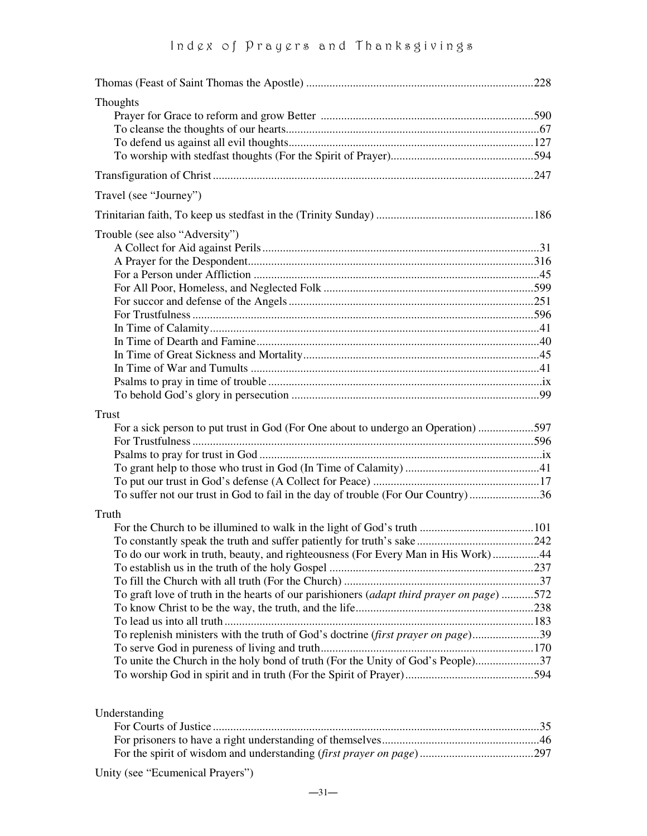| Thoughts                                                                                  |  |
|-------------------------------------------------------------------------------------------|--|
|                                                                                           |  |
|                                                                                           |  |
|                                                                                           |  |
|                                                                                           |  |
|                                                                                           |  |
| Travel (see "Journey")                                                                    |  |
|                                                                                           |  |
| Trouble (see also "Adversity")                                                            |  |
|                                                                                           |  |
|                                                                                           |  |
|                                                                                           |  |
|                                                                                           |  |
|                                                                                           |  |
|                                                                                           |  |
|                                                                                           |  |
|                                                                                           |  |
|                                                                                           |  |
|                                                                                           |  |
|                                                                                           |  |
|                                                                                           |  |
| <b>Trust</b>                                                                              |  |
| For a sick person to put trust in God (For One about to undergo an Operation) 597         |  |
|                                                                                           |  |
|                                                                                           |  |
|                                                                                           |  |
|                                                                                           |  |
| To suffer not our trust in God to fail in the day of trouble (For Our Country)36          |  |
|                                                                                           |  |
| Truth                                                                                     |  |
|                                                                                           |  |
|                                                                                           |  |
| To do our work in truth, beauty, and righteousness (For Every Man in His Work)44          |  |
|                                                                                           |  |
|                                                                                           |  |
| To graft love of truth in the hearts of our parishioners (adapt third prayer on page) 572 |  |
|                                                                                           |  |
|                                                                                           |  |
| To replenish ministers with the truth of God's doctrine <i>(first prayer on page)</i> 39  |  |
|                                                                                           |  |
| To unite the Church in the holy bond of truth (For the Unity of God's People)37           |  |
|                                                                                           |  |
|                                                                                           |  |
| Understanding                                                                             |  |

| $rac{1}{2}$ |  |
|-------------|--|
|             |  |
|             |  |
|             |  |
|             |  |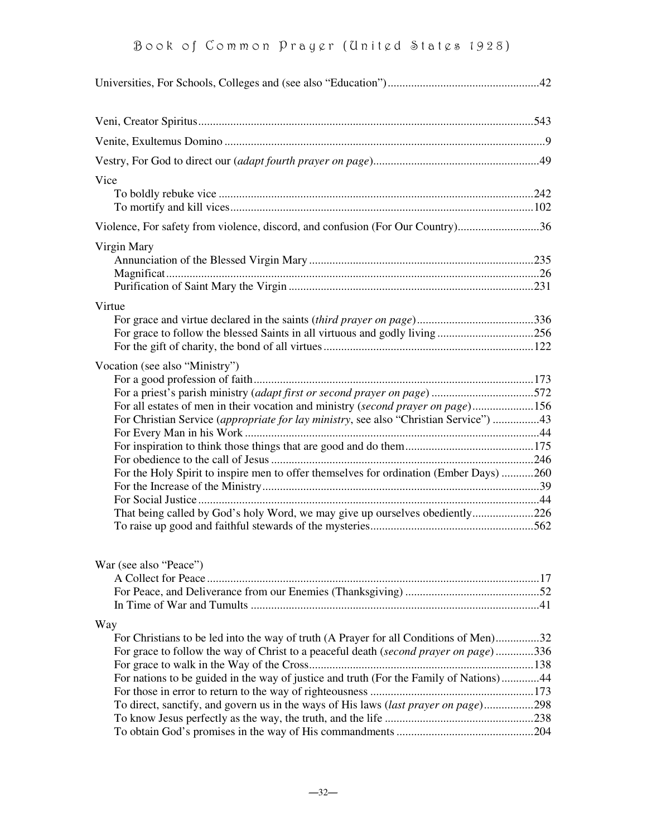| Vice                                                                                                                                                                                                                                                                                                                                                                                                                                                               |  |
|--------------------------------------------------------------------------------------------------------------------------------------------------------------------------------------------------------------------------------------------------------------------------------------------------------------------------------------------------------------------------------------------------------------------------------------------------------------------|--|
| Violence, For safety from violence, discord, and confusion (For Our Country)36                                                                                                                                                                                                                                                                                                                                                                                     |  |
| Virgin Mary                                                                                                                                                                                                                                                                                                                                                                                                                                                        |  |
| Virtue                                                                                                                                                                                                                                                                                                                                                                                                                                                             |  |
| Vocation (see also "Ministry")<br>For a priest's parish ministry (adapt first or second prayer on page) 572<br>For all estates of men in their vocation and ministry (second prayer on page)156<br>For Christian Service (appropriate for lay ministry, see also "Christian Service") 43<br>For the Holy Spirit to inspire men to offer themselves for ordination (Ember Days) 260<br>That being called by God's holy Word, we may give up ourselves obediently226 |  |
| War (see also "Peace")                                                                                                                                                                                                                                                                                                                                                                                                                                             |  |
| Way<br>For Christians to be led into the way of truth (A Prayer for all Conditions of Men)32<br>For grace to follow the way of Christ to a peaceful death (second prayer on page)336<br>For nations to be guided in the way of justice and truth (For the Family of Nations)44<br>To direct, sanctify, and govern us in the ways of His laws (last prayer on page)298                                                                                              |  |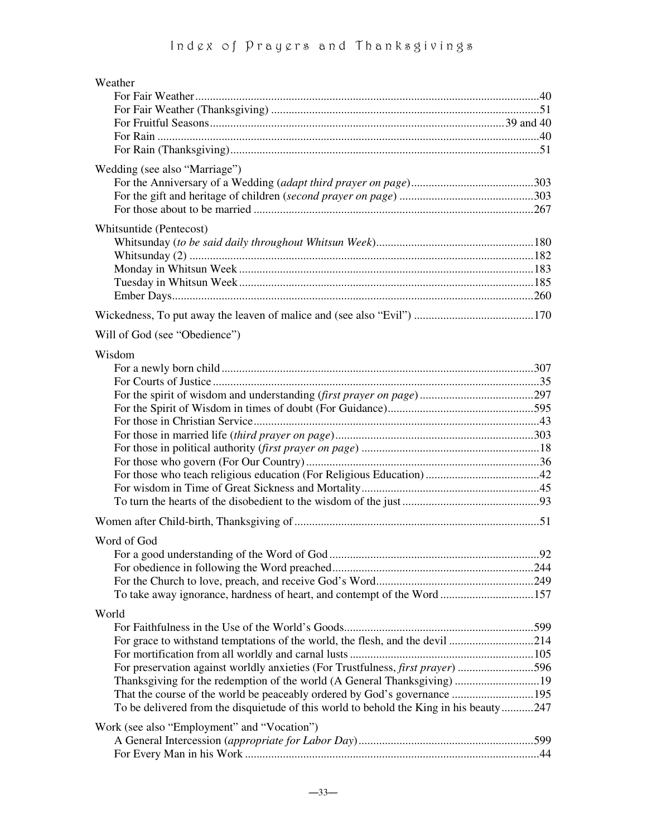| Weather                                                                                |  |
|----------------------------------------------------------------------------------------|--|
|                                                                                        |  |
|                                                                                        |  |
|                                                                                        |  |
|                                                                                        |  |
|                                                                                        |  |
| Wedding (see also "Marriage")                                                          |  |
|                                                                                        |  |
|                                                                                        |  |
|                                                                                        |  |
| Whitsuntide (Pentecost)                                                                |  |
|                                                                                        |  |
|                                                                                        |  |
|                                                                                        |  |
|                                                                                        |  |
|                                                                                        |  |
|                                                                                        |  |
|                                                                                        |  |
| Will of God (see "Obedience")                                                          |  |
| Wisdom                                                                                 |  |
|                                                                                        |  |
|                                                                                        |  |
|                                                                                        |  |
|                                                                                        |  |
|                                                                                        |  |
|                                                                                        |  |
|                                                                                        |  |
|                                                                                        |  |
|                                                                                        |  |
|                                                                                        |  |
|                                                                                        |  |
|                                                                                        |  |
|                                                                                        |  |
| Word of God                                                                            |  |
|                                                                                        |  |
|                                                                                        |  |
|                                                                                        |  |
| To take away ignorance, hardness of heart, and contempt of the Word 157                |  |
| World                                                                                  |  |
|                                                                                        |  |
|                                                                                        |  |
|                                                                                        |  |
| For preservation against worldly anxieties (For Trustfulness, first prayer) 596        |  |
|                                                                                        |  |
|                                                                                        |  |
| To be delivered from the disquietude of this world to behold the King in his beauty247 |  |
| Work (see also "Employment" and "Vocation")                                            |  |
|                                                                                        |  |
|                                                                                        |  |